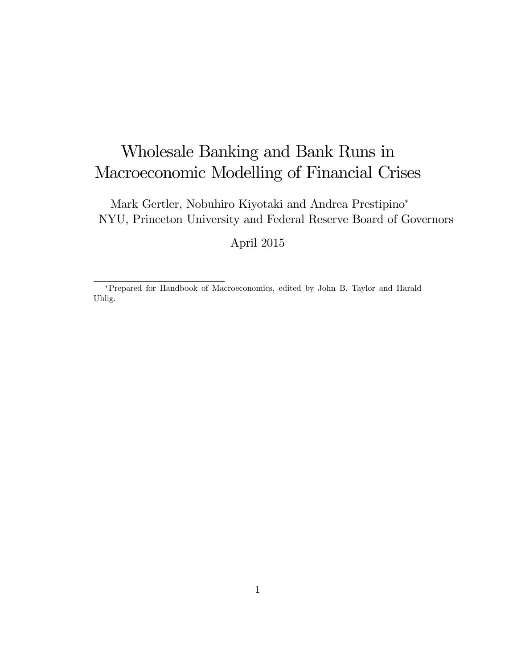# Wholesale Banking and Bank Runs in Macroeconomic Modelling of Financial Crises

Mark Gertler, Nobuhiro Kiyotaki and Andrea Prestipino NYU, Princeton University and Federal Reserve Board of Governors

April 2015

Prepared for Handbook of Macroeconomics, edited by John B. Taylor and Harald Uhlig.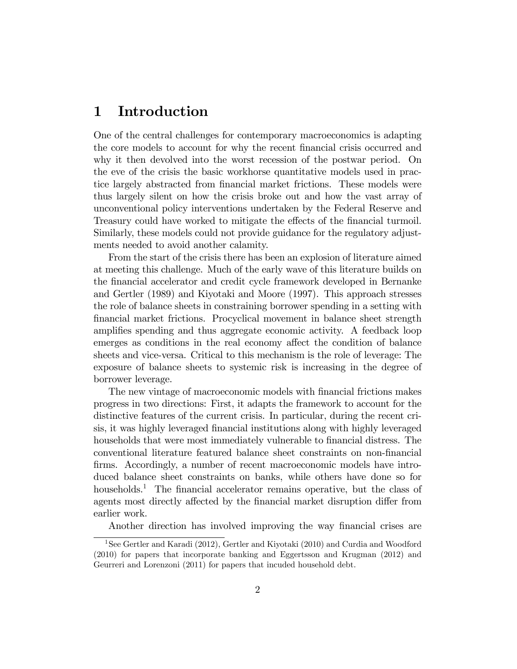# 1 Introduction

One of the central challenges for contemporary macroeconomics is adapting the core models to account for why the recent financial crisis occurred and why it then devolved into the worst recession of the postwar period. On the eve of the crisis the basic workhorse quantitative models used in practice largely abstracted from financial market frictions. These models were thus largely silent on how the crisis broke out and how the vast array of unconventional policy interventions undertaken by the Federal Reserve and Treasury could have worked to mitigate the effects of the financial turmoil. Similarly, these models could not provide guidance for the regulatory adjustments needed to avoid another calamity.

From the start of the crisis there has been an explosion of literature aimed at meeting this challenge. Much of the early wave of this literature builds on the Önancial accelerator and credit cycle framework developed in Bernanke and Gertler (1989) and Kiyotaki and Moore (1997). This approach stresses the role of balance sheets in constraining borrower spending in a setting with Önancial market frictions. Procyclical movement in balance sheet strength amplifies spending and thus aggregate economic activity. A feedback loop emerges as conditions in the real economy affect the condition of balance sheets and vice-versa. Critical to this mechanism is the role of leverage: The exposure of balance sheets to systemic risk is increasing in the degree of borrower leverage.

The new vintage of macroeconomic models with financial frictions makes progress in two directions: First, it adapts the framework to account for the distinctive features of the current crisis. In particular, during the recent crisis, it was highly leveraged financial institutions along with highly leveraged households that were most immediately vulnerable to financial distress. The conventional literature featured balance sheet constraints on non-Önancial firms. Accordingly, a number of recent macroeconomic models have introduced balance sheet constraints on banks, while others have done so for households.<sup>1</sup> The financial accelerator remains operative, but the class of agents most directly affected by the financial market disruption differ from earlier work.

Another direction has involved improving the way financial crises are

<sup>&</sup>lt;sup>1</sup>See Gertler and Karadi (2012), Gertler and Kiyotaki (2010) and Curdia and Woodford (2010) for papers that incorporate banking and Eggertsson and Krugman (2012) and Geurreri and Lorenzoni (2011) for papers that incuded household debt.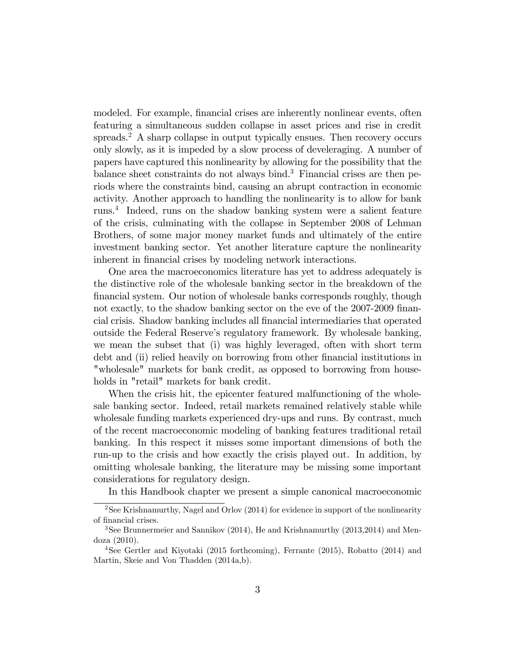modeled. For example, financial crises are inherently nonlinear events, often featuring a simultaneous sudden collapse in asset prices and rise in credit spreads.<sup>2</sup> A sharp collapse in output typically ensues. Then recovery occurs only slowly, as it is impeded by a slow process of develeraging. A number of papers have captured this nonlinearity by allowing for the possibility that the balance sheet constraints do not always bind.<sup>3</sup> Financial crises are then periods where the constraints bind, causing an abrupt contraction in economic activity. Another approach to handling the nonlinearity is to allow for bank runs.<sup>4</sup> Indeed, runs on the shadow banking system were a salient feature of the crisis, culminating with the collapse in September 2008 of Lehman Brothers, of some major money market funds and ultimately of the entire investment banking sector. Yet another literature capture the nonlinearity inherent in financial crises by modeling network interactions.

One area the macroeconomics literature has yet to address adequately is the distinctive role of the wholesale banking sector in the breakdown of the financial system. Our notion of wholesale banks corresponds roughly, though not exactly, to the shadow banking sector on the eve of the 2007-2009 financial crisis. Shadow banking includes all Önancial intermediaries that operated outside the Federal Reserveís regulatory framework. By wholesale banking, we mean the subset that (i) was highly leveraged, often with short term debt and (ii) relied heavily on borrowing from other financial institutions in "wholesale" markets for bank credit, as opposed to borrowing from households in "retail" markets for bank credit.

When the crisis hit, the epicenter featured malfunctioning of the wholesale banking sector. Indeed, retail markets remained relatively stable while wholesale funding markets experienced dry-ups and runs. By contrast, much of the recent macroeconomic modeling of banking features traditional retail banking. In this respect it misses some important dimensions of both the run-up to the crisis and how exactly the crisis played out. In addition, by omitting wholesale banking, the literature may be missing some important considerations for regulatory design.

In this Handbook chapter we present a simple canonical macroeconomic

<sup>&</sup>lt;sup>2</sup>See Krishnamurthy, Nagel and Orlov  $(2014)$  for evidence in support of the nonlinearity of financial crises.

<sup>3</sup>See Brunnermeier and Sannikov (2014), He and Krishnamurthy (2013,2014) and Mendoza (2010).

<sup>4</sup>See Gertler and Kiyotaki (2015 forthcoming), Ferrante (2015), Robatto (2014) and Martin, Skeie and Von Thadden (2014a,b).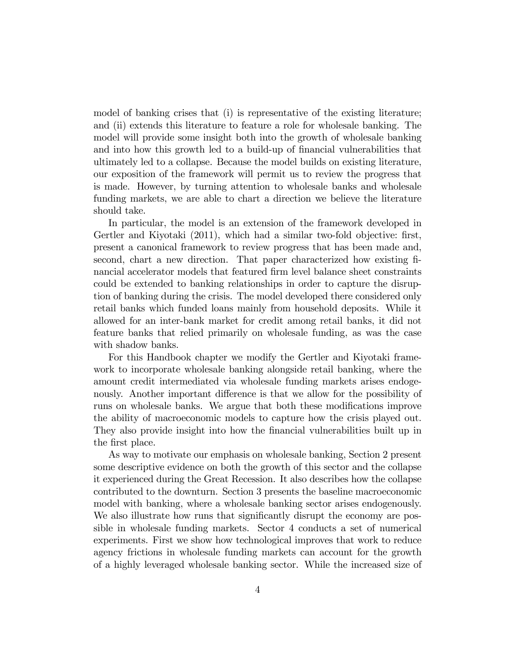model of banking crises that (i) is representative of the existing literature; and (ii) extends this literature to feature a role for wholesale banking. The model will provide some insight both into the growth of wholesale banking and into how this growth led to a build-up of financial vulnerabilities that ultimately led to a collapse. Because the model builds on existing literature, our exposition of the framework will permit us to review the progress that is made. However, by turning attention to wholesale banks and wholesale funding markets, we are able to chart a direction we believe the literature should take.

In particular, the model is an extension of the framework developed in Gertler and Kiyotaki  $(2011)$ , which had a similar two-fold objective: first, present a canonical framework to review progress that has been made and, second, chart a new direction. That paper characterized how existing financial accelerator models that featured Örm level balance sheet constraints could be extended to banking relationships in order to capture the disruption of banking during the crisis. The model developed there considered only retail banks which funded loans mainly from household deposits. While it allowed for an inter-bank market for credit among retail banks, it did not feature banks that relied primarily on wholesale funding, as was the case with shadow banks.

For this Handbook chapter we modify the Gertler and Kiyotaki framework to incorporate wholesale banking alongside retail banking, where the amount credit intermediated via wholesale funding markets arises endogenously. Another important difference is that we allow for the possibility of runs on wholesale banks. We argue that both these modifications improve the ability of macroeconomic models to capture how the crisis played out. They also provide insight into how the financial vulnerabilities built up in the first place.

As way to motivate our emphasis on wholesale banking, Section 2 present some descriptive evidence on both the growth of this sector and the collapse it experienced during the Great Recession. It also describes how the collapse contributed to the downturn. Section 3 presents the baseline macroeconomic model with banking, where a wholesale banking sector arises endogenously. We also illustrate how runs that significantly disrupt the economy are possible in wholesale funding markets. Sector 4 conducts a set of numerical experiments. First we show how technological improves that work to reduce agency frictions in wholesale funding markets can account for the growth of a highly leveraged wholesale banking sector. While the increased size of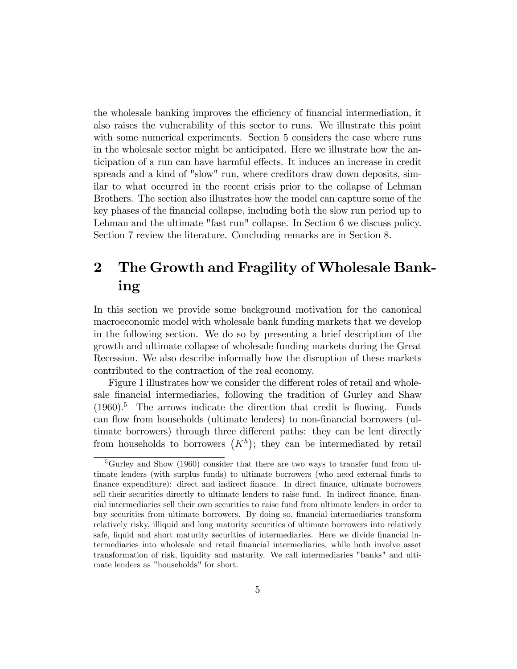the wholesale banking improves the efficiency of financial intermediation, it also raises the vulnerability of this sector to runs. We illustrate this point with some numerical experiments. Section 5 considers the case where runs in the wholesale sector might be anticipated. Here we illustrate how the anticipation of a run can have harmful effects. It induces an increase in credit spreads and a kind of "slow" run, where creditors draw down deposits, similar to what occurred in the recent crisis prior to the collapse of Lehman Brothers. The section also illustrates how the model can capture some of the key phases of the Önancial collapse, including both the slow run period up to Lehman and the ultimate "fast run" collapse. In Section 6 we discuss policy. Section 7 review the literature. Concluding remarks are in Section 8.

# 2 The Growth and Fragility of Wholesale Banking

In this section we provide some background motivation for the canonical macroeconomic model with wholesale bank funding markets that we develop in the following section. We do so by presenting a brief description of the growth and ultimate collapse of wholesale funding markets during the Great Recession. We also describe informally how the disruption of these markets contributed to the contraction of the real economy.

Figure 1 illustrates how we consider the different roles of retail and wholesale financial intermediaries, following the tradition of Gurley and Shaw  $(1960).$ <sup>5</sup> The arrows indicate the direction that credit is flowing. Funds can flow from households (ultimate lenders) to non-financial borrowers (ultimate borrowers) through three different paths: they can be lent directly from households to borrowers  $(K<sup>h</sup>)$ ; they can be intermediated by retail

<sup>&</sup>lt;sup>5</sup>Gurley and Show (1960) consider that there are two ways to transfer fund from ultimate lenders (with surplus funds) to ultimate borrowers (who need external funds to Önance expenditure): direct and indirect Önance. In direct Önance, ultimate borrowers sell their securities directly to ultimate lenders to raise fund. In indirect finance, financial intermediaries sell their own securities to raise fund from ultimate lenders in order to buy securities from ultimate borrowers. By doing so, Önancial intermediaries transform relatively risky, illiquid and long maturity securities of ultimate borrowers into relatively safe, liquid and short maturity securities of intermediaries. Here we divide financial intermediaries into wholesale and retail Önancial intermediaries, while both involve asset transformation of risk, liquidity and maturity. We call intermediaries "banks" and ultimate lenders as "households" for short.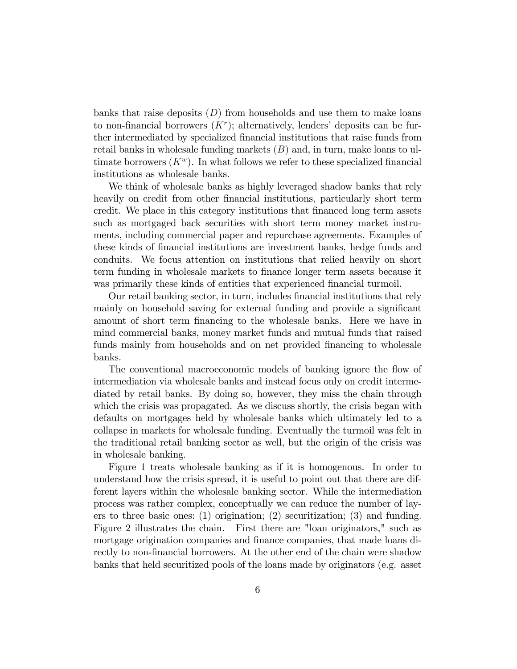banks that raise deposits  $(D)$  from households and use them to make loans to non-financial borrowers  $(K<sup>r</sup>)$ ; alternatively, lenders' deposits can be further intermediated by specialized Önancial institutions that raise funds from retail banks in wholesale funding markets  $(B)$  and, in turn, make loans to ultimate borrowers  $(K^w)$ . In what follows we refer to these specialized financial institutions as wholesale banks.

We think of wholesale banks as highly leveraged shadow banks that rely heavily on credit from other financial institutions, particularly short term credit. We place in this category institutions that financed long term assets such as mortgaged back securities with short term money market instruments, including commercial paper and repurchase agreements. Examples of these kinds of Önancial institutions are investment banks, hedge funds and conduits. We focus attention on institutions that relied heavily on short term funding in wholesale markets to finance longer term assets because it was primarily these kinds of entities that experienced financial turmoil.

Our retail banking sector, in turn, includes financial institutions that rely mainly on household saving for external funding and provide a significant amount of short term financing to the wholesale banks. Here we have in mind commercial banks, money market funds and mutual funds that raised funds mainly from households and on net provided financing to wholesale banks.

The conventional macroeconomic models of banking ignore the flow of intermediation via wholesale banks and instead focus only on credit intermediated by retail banks. By doing so, however, they miss the chain through which the crisis was propagated. As we discuss shortly, the crisis began with defaults on mortgages held by wholesale banks which ultimately led to a collapse in markets for wholesale funding. Eventually the turmoil was felt in the traditional retail banking sector as well, but the origin of the crisis was in wholesale banking.

Figure 1 treats wholesale banking as if it is homogenous. In order to understand how the crisis spread, it is useful to point out that there are different layers within the wholesale banking sector. While the intermediation process was rather complex, conceptually we can reduce the number of layers to three basic ones: (1) origination; (2) securitization; (3) and funding. Figure 2 illustrates the chain. First there are "loan originators," such as mortgage origination companies and finance companies, that made loans directly to non-financial borrowers. At the other end of the chain were shadow banks that held securitized pools of the loans made by originators (e.g. asset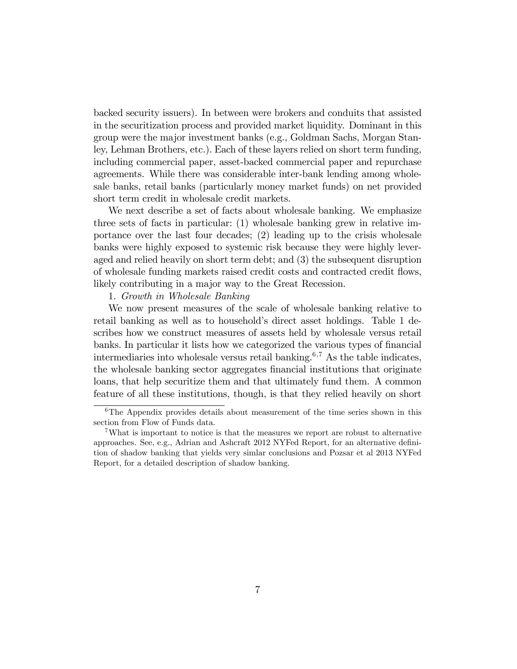backed security issuers). In between were brokers and conduits that assisted in the securitization process and provided market liquidity. Dominant in this group were the major investment banks (e.g., Goldman Sachs, Morgan Stanley, Lehman Brothers, etc.). Each of these layers relied on short term funding, including commercial paper, asset-backed commercial paper and repurchase agreements. While there was considerable inter-bank lending among wholesale banks, retail banks (particularly money market funds) on net provided short term credit in wholesale credit markets.

We next describe a set of facts about wholesale banking. We emphasize three sets of facts in particular: (1) wholesale banking grew in relative importance over the last four decades; (2) leading up to the crisis wholesale banks were highly exposed to systemic risk because they were highly leveraged and relied heavily on short term debt; and (3) the subsequent disruption of wholesale funding markets raised credit costs and contracted credit áows, likely contributing in a major way to the Great Recession.

#### 1. Growth in Wholesale Banking

We now present measures of the scale of wholesale banking relative to retail banking as well as to household's direct asset holdings. Table 1 describes how we construct measures of assets held by wholesale versus retail banks. In particular it lists how we categorized the various types of financial intermediaries into wholesale versus retail banking.<sup>6,7</sup> As the table indicates, the wholesale banking sector aggregates financial institutions that originate loans, that help securitize them and that ultimately fund them. A common feature of all these institutions, though, is that they relied heavily on short

 $6$ The Appendix provides details about measurement of the time series shown in this section from Flow of Funds data.

<sup>7</sup>What is important to notice is that the measures we report are robust to alternative approaches. See, e.g., Adrian and Ashcraft 2012 NYFed Report, for an alternative definition of shadow banking that yields very simlar conclusions and Pozsar et al 2013 NYFed Report, for a detailed description of shadow banking.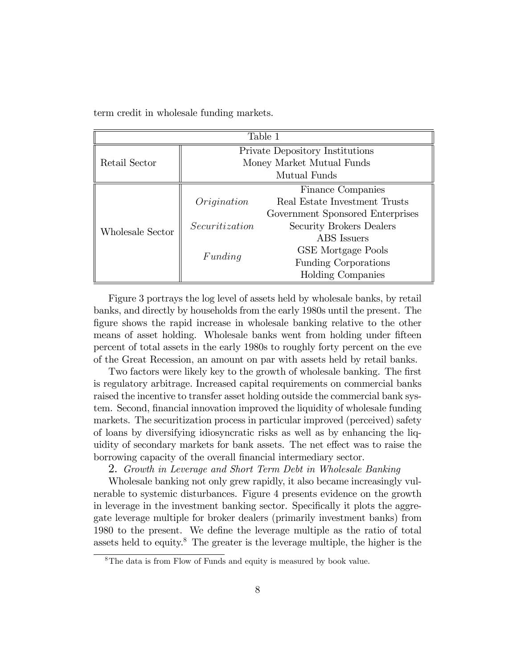term credit in wholesale funding markets.

| Table 1          |                                        |                                  |  |  |
|------------------|----------------------------------------|----------------------------------|--|--|
| Retail Sector    | <b>Private Depository Institutions</b> |                                  |  |  |
|                  | Money Market Mutual Funds              |                                  |  |  |
|                  | Mutual Funds                           |                                  |  |  |
|                  |                                        | Finance Companies                |  |  |
|                  | Origination                            | Real Estate Investment Trusts    |  |  |
|                  |                                        | Government Sponsored Enterprises |  |  |
| Wholesale Sector | Securitization                         | Security Brokers Dealers         |  |  |
|                  | Funding                                | <b>ABS</b> Issuers               |  |  |
|                  |                                        | GSE Mortgage Pools               |  |  |
|                  |                                        | <b>Funding Corporations</b>      |  |  |
|                  |                                        | <b>Holding Companies</b>         |  |  |

Figure 3 portrays the log level of assets held by wholesale banks, by retail banks, and directly by households from the early 1980s until the present. The figure shows the rapid increase in wholesale banking relative to the other means of asset holding. Wholesale banks went from holding under fifteen percent of total assets in the early 1980s to roughly forty percent on the eve of the Great Recession, an amount on par with assets held by retail banks.

Two factors were likely key to the growth of wholesale banking. The first is regulatory arbitrage. Increased capital requirements on commercial banks raised the incentive to transfer asset holding outside the commercial bank system. Second, financial innovation improved the liquidity of wholesale funding markets. The securitization process in particular improved (perceived) safety of loans by diversifying idiosyncratic risks as well as by enhancing the liquidity of secondary markets for bank assets. The net effect was to raise the borrowing capacity of the overall financial intermediary sector.

2. Growth in Leverage and Short Term Debt in Wholesale Banking

Wholesale banking not only grew rapidly, it also became increasingly vulnerable to systemic disturbances. Figure 4 presents evidence on the growth in leverage in the investment banking sector. Specifically it plots the aggregate leverage multiple for broker dealers (primarily investment banks) from 1980 to the present. We define the leverage multiple as the ratio of total assets held to equity.<sup>8</sup> The greater is the leverage multiple, the higher is the

 $8$ The data is from Flow of Funds and equity is measured by book value.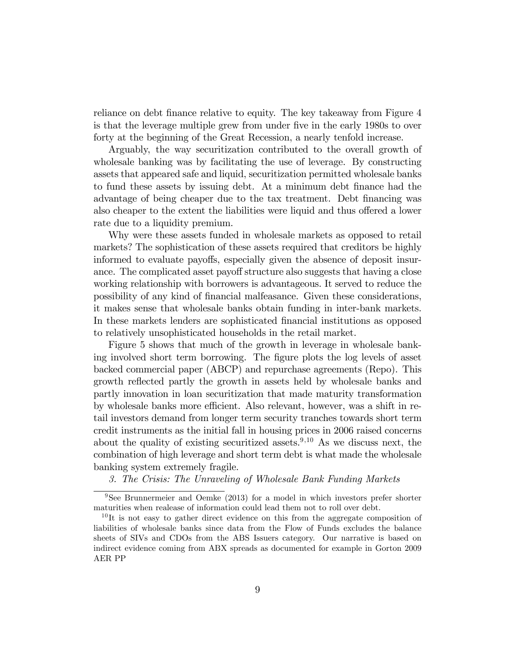reliance on debt finance relative to equity. The key takeaway from Figure 4 is that the leverage multiple grew from under five in the early 1980s to over forty at the beginning of the Great Recession, a nearly tenfold increase.

Arguably, the way securitization contributed to the overall growth of wholesale banking was by facilitating the use of leverage. By constructing assets that appeared safe and liquid, securitization permitted wholesale banks to fund these assets by issuing debt. At a minimum debt Önance had the advantage of being cheaper due to the tax treatment. Debt Önancing was also cheaper to the extent the liabilities were liquid and thus offered a lower rate due to a liquidity premium.

Why were these assets funded in wholesale markets as opposed to retail markets? The sophistication of these assets required that creditors be highly informed to evaluate payoffs, especially given the absence of deposit insurance. The complicated asset payoff structure also suggests that having a close working relationship with borrowers is advantageous. It served to reduce the possibility of any kind of Önancial malfeasance. Given these considerations, it makes sense that wholesale banks obtain funding in inter-bank markets. In these markets lenders are sophisticated Önancial institutions as opposed to relatively unsophisticated households in the retail market.

Figure 5 shows that much of the growth in leverage in wholesale banking involved short term borrowing. The figure plots the log levels of asset backed commercial paper (ABCP) and repurchase agreements (Repo). This growth reflected partly the growth in assets held by wholesale banks and partly innovation in loan securitization that made maturity transformation by wholesale banks more efficient. Also relevant, however, was a shift in retail investors demand from longer term security tranches towards short term credit instruments as the initial fall in housing prices in 2006 raised concerns about the quality of existing securitized assets.<sup>9,10</sup> As we discuss next, the combination of high leverage and short term debt is what made the wholesale banking system extremely fragile.

3. The Crisis: The Unraveling of Wholesale Bank Funding Markets

<sup>9</sup>See Brunnermeier and Oemke (2013) for a model in which investors prefer shorter maturities when realease of information could lead them not to roll over debt.

 $10$ It is not easy to gather direct evidence on this from the aggregate composition of liabilities of wholesale banks since data from the Flow of Funds excludes the balance sheets of SIVs and CDOs from the ABS Issuers category. Our narrative is based on indirect evidence coming from ABX spreads as documented for example in Gorton 2009 AER PP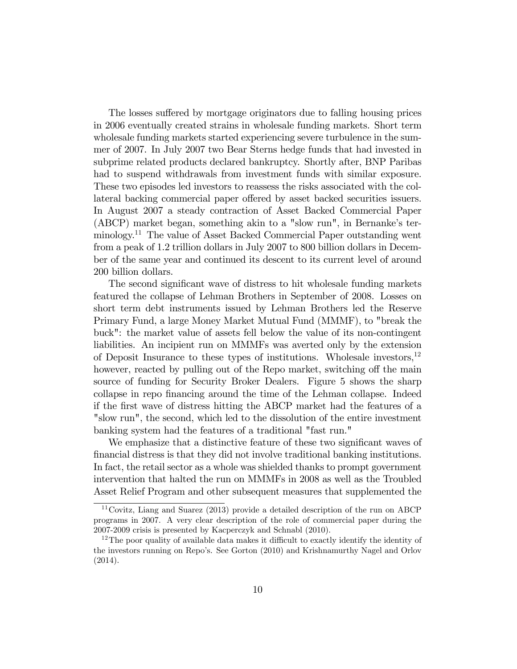The losses suffered by mortgage originators due to falling housing prices in 2006 eventually created strains in wholesale funding markets. Short term wholesale funding markets started experiencing severe turbulence in the summer of 2007. In July 2007 two Bear Sterns hedge funds that had invested in subprime related products declared bankruptcy. Shortly after, BNP Paribas had to suspend withdrawals from investment funds with similar exposure. These two episodes led investors to reassess the risks associated with the collateral backing commercial paper offered by asset backed securities issuers. In August 2007 a steady contraction of Asset Backed Commercial Paper  $(ABCP)$  market began, something akin to a "slow run", in Bernanke's terminology.<sup>11</sup> The value of Asset Backed Commercial Paper outstanding went from a peak of 1.2 trillion dollars in July 2007 to 800 billion dollars in December of the same year and continued its descent to its current level of around 200 billion dollars.

The second significant wave of distress to hit wholesale funding markets featured the collapse of Lehman Brothers in September of 2008. Losses on short term debt instruments issued by Lehman Brothers led the Reserve Primary Fund, a large Money Market Mutual Fund (MMMF), to "break the buck": the market value of assets fell below the value of its non-contingent liabilities. An incipient run on MMMFs was averted only by the extension of Deposit Insurance to these types of institutions. Wholesale investors,<sup>12</sup> however, reacted by pulling out of the Repo market, switching off the main source of funding for Security Broker Dealers. Figure 5 shows the sharp collapse in repo financing around the time of the Lehman collapse. Indeed if the Örst wave of distress hitting the ABCP market had the features of a "slow run", the second, which led to the dissolution of the entire investment banking system had the features of a traditional "fast run."

We emphasize that a distinctive feature of these two significant waves of Önancial distress is that they did not involve traditional banking institutions. In fact, the retail sector as a whole was shielded thanks to prompt government intervention that halted the run on MMMFs in 2008 as well as the Troubled Asset Relief Program and other subsequent measures that supplemented the

<sup>11</sup>Covitz, Liang and Suarez (2013) provide a detailed description of the run on ABCP programs in 2007. A very clear description of the role of commercial paper during the 2007-2009 crisis is presented by Kacperczyk and Schnabl (2010).

 $12$ The poor quality of available data makes it difficult to exactly identify the identity of the investors running on Repoís. See Gorton (2010) and Krishnamurthy Nagel and Orlov (2014).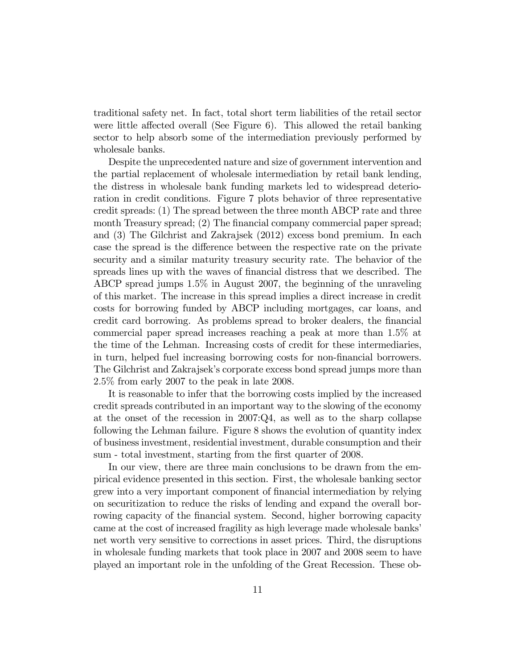traditional safety net. In fact, total short term liabilities of the retail sector were little affected overall (See Figure  $6$ ). This allowed the retail banking sector to help absorb some of the intermediation previously performed by wholesale banks.

Despite the unprecedented nature and size of government intervention and the partial replacement of wholesale intermediation by retail bank lending, the distress in wholesale bank funding markets led to widespread deterioration in credit conditions. Figure 7 plots behavior of three representative credit spreads: (1) The spread between the three month ABCP rate and three month Treasury spread; (2) The financial company commercial paper spread; and (3) The Gilchrist and Zakrajsek (2012) excess bond premium. In each case the spread is the difference between the respective rate on the private security and a similar maturity treasury security rate. The behavior of the spreads lines up with the waves of financial distress that we described. The ABCP spread jumps 1:5% in August 2007, the beginning of the unraveling of this market. The increase in this spread implies a direct increase in credit costs for borrowing funded by ABCP including mortgages, car loans, and credit card borrowing. As problems spread to broker dealers, the financial commercial paper spread increases reaching a peak at more than 1:5% at the time of the Lehman. Increasing costs of credit for these intermediaries, in turn, helped fuel increasing borrowing costs for non-financial borrowers. The Gilchrist and Zakrajsek's corporate excess bond spread jumps more than 2:5% from early 2007 to the peak in late 2008.

It is reasonable to infer that the borrowing costs implied by the increased credit spreads contributed in an important way to the slowing of the economy at the onset of the recession in 2007:Q4, as well as to the sharp collapse following the Lehman failure. Figure 8 shows the evolution of quantity index of business investment, residential investment, durable consumption and their sum - total investment, starting from the first quarter of 2008.

In our view, there are three main conclusions to be drawn from the empirical evidence presented in this section. First, the wholesale banking sector grew into a very important component of financial intermediation by relying on securitization to reduce the risks of lending and expand the overall borrowing capacity of the financial system. Second, higher borrowing capacity came at the cost of increased fragility as high leverage made wholesale banks' net worth very sensitive to corrections in asset prices. Third, the disruptions in wholesale funding markets that took place in 2007 and 2008 seem to have played an important role in the unfolding of the Great Recession. These ob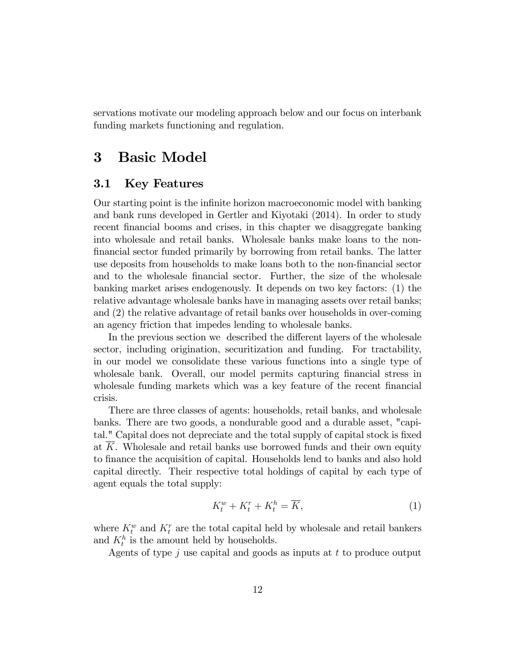servations motivate our modeling approach below and our focus on interbank funding markets functioning and regulation.

## 3 Basic Model

### 3.1 Key Features

Our starting point is the inÖnite horizon macroeconomic model with banking and bank runs developed in Gertler and Kiyotaki (2014). In order to study recent financial booms and crises, in this chapter we disaggregate banking into wholesale and retail banks. Wholesale banks make loans to the non-Önancial sector funded primarily by borrowing from retail banks. The latter use deposits from households to make loans both to the non-Önancial sector and to the wholesale financial sector. Further, the size of the wholesale banking market arises endogenously. It depends on two key factors: (1) the relative advantage wholesale banks have in managing assets over retail banks; and (2) the relative advantage of retail banks over households in over-coming an agency friction that impedes lending to wholesale banks.

In the previous section we described the different layers of the wholesale sector, including origination, securitization and funding. For tractability, in our model we consolidate these various functions into a single type of wholesale bank. Overall, our model permits capturing financial stress in wholesale funding markets which was a key feature of the recent financial crisis.

There are three classes of agents: households, retail banks, and wholesale banks. There are two goods, a nondurable good and a durable asset, "capital." Capital does not depreciate and the total supply of capital stock is fixed at K. Wholesale and retail banks use borrowed funds and their own equity to Önance the acquisition of capital. Households lend to banks and also hold capital directly. Their respective total holdings of capital by each type of agent equals the total supply:

$$
K_t^w + K_t^r + K_t^h = \overline{K},\tag{1}
$$

where  $K_t^w$  and  $K_t^r$  are the total capital held by wholesale and retail bankers and  $K_t^h$  is the amount held by households.

Agents of type  $j$  use capital and goods as inputs at  $t$  to produce output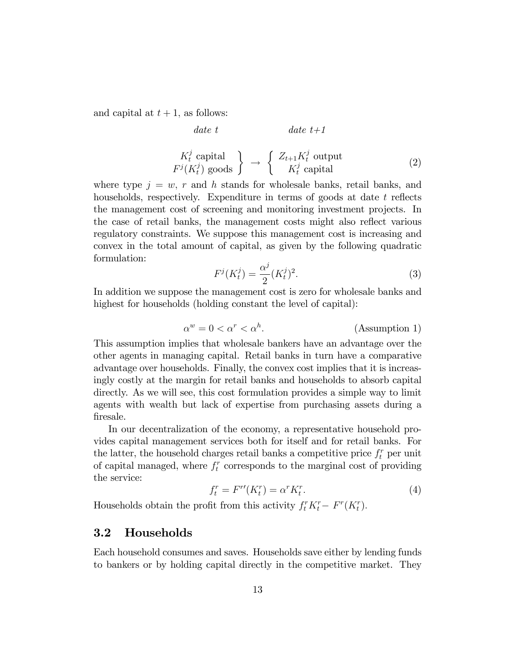and capital at  $t + 1$ , as follows:

$$
date \ t \t\t date \ t+1
$$
\n
$$
K_t^j \text{ capital} \at \tF^j(K_t^j) \text{ goods} \t \to \t \begin{cases} Z_{t+1} K_t^j \text{ output} \\ K_t^j \text{ capital} \end{cases} \t (2)
$$

where type  $j = w$ , r and h stands for wholesale banks, retail banks, and households, respectively. Expenditure in terms of goods at date  $t$  reflects the management cost of screening and monitoring investment projects. In the case of retail banks, the management costs might also reflect various regulatory constraints. We suppose this management cost is increasing and convex in the total amount of capital, as given by the following quadratic formulation:

$$
F^{j}(K_{t}^{j}) = \frac{\alpha^{j}}{2}(K_{t}^{j})^{2}.
$$
 (3)

In addition we suppose the management cost is zero for wholesale banks and highest for households (holding constant the level of capital):

$$
\alpha^w = 0 < \alpha^r < \alpha^h. \tag{Assumption 1}
$$

This assumption implies that wholesale bankers have an advantage over the other agents in managing capital. Retail banks in turn have a comparative advantage over households. Finally, the convex cost implies that it is increasingly costly at the margin for retail banks and households to absorb capital directly. As we will see, this cost formulation provides a simple way to limit agents with wealth but lack of expertise from purchasing assets during a firesale.

In our decentralization of the economy, a representative household provides capital management services both for itself and for retail banks. For the latter, the household charges retail banks a competitive price  $f_t^r$  per unit of capital managed, where  $f_t^r$  corresponds to the marginal cost of providing the service:

$$
f_t^r = F^{r\prime}(K_t^r) = \alpha^r K_t^r. \tag{4}
$$

Households obtain the profit from this activity  $f_t^r K_t^r - F^r(K_t^r)$ .

### 3.2 Households

Each household consumes and saves. Households save either by lending funds to bankers or by holding capital directly in the competitive market. They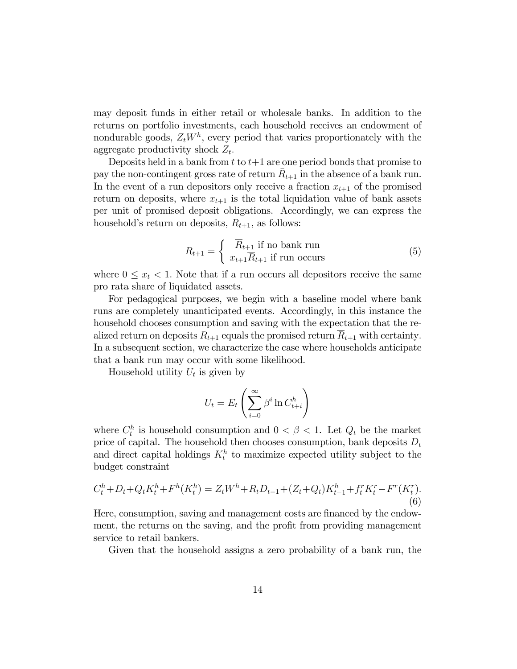may deposit funds in either retail or wholesale banks. In addition to the returns on portfolio investments, each household receives an endowment of nondurable goods,  $Z_t W^h$ , every period that varies proportionately with the aggregate productivity shock  $Z_t$ .

Deposits held in a bank from  $t$  to  $t+1$  are one period bonds that promise to pay the non-contingent gross rate of return  $\bar{R}_{t+1}$  in the absence of a bank run. In the event of a run depositors only receive a fraction  $x_{t+1}$  of the promised return on deposits, where  $x_{t+1}$  is the total liquidation value of bank assets per unit of promised deposit obligations. Accordingly, we can express the household's return on deposits,  $R_{t+1}$ , as follows:

$$
R_{t+1} = \begin{cases} \overline{R}_{t+1} & \text{if no bank run} \\ x_{t+1} \overline{R}_{t+1} & \text{if run occurs} \end{cases}
$$
 (5)

where  $0 \leq x_t < 1$ . Note that if a run occurs all depositors receive the same pro rata share of liquidated assets.

For pedagogical purposes, we begin with a baseline model where bank runs are completely unanticipated events. Accordingly, in this instance the household chooses consumption and saving with the expectation that the realized return on deposits  $R_{t+1}$  equals the promised return  $R_{t+1}$  with certainty. In a subsequent section, we characterize the case where households anticipate that a bank run may occur with some likelihood.

Household utility  $U_t$  is given by

$$
U_t = E_t \left( \sum_{i=0}^{\infty} \beta^i \ln C_{t+i}^h \right)
$$

where  $C_t^h$  is household consumption and  $0 < \beta < 1$ . Let  $Q_t$  be the market price of capital. The household then chooses consumption, bank deposits  $D_t$ and direct capital holdings  $K_t^h$  to maximize expected utility subject to the budget constraint

$$
C_t^h + D_t + Q_t K_t^h + F^h(K_t^h) = Z_t W^h + R_t D_{t-1} + (Z_t + Q_t) K_{t-1}^h + f_t^r K_t^r - F^r(K_t^r).
$$
\n(6)

Here, consumption, saving and management costs are financed by the endowment, the returns on the saving, and the profit from providing management service to retail bankers.

Given that the household assigns a zero probability of a bank run, the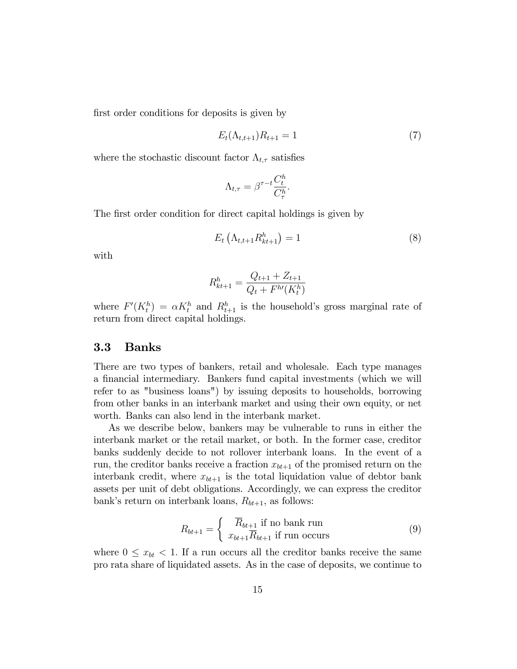first order conditions for deposits is given by

$$
E_t(\Lambda_{t,t+1})R_{t+1} = 1\tag{7}
$$

where the stochastic discount factor  $\Lambda_{t,\tau}$  satisfies

$$
\Lambda_{t,\tau} = \beta^{\tau - t} \frac{C_t^h}{C_\tau^h}
$$

:

The first order condition for direct capital holdings is given by

$$
E_t\left(\Lambda_{t,t+1}R_{kt+1}^h\right) = 1\tag{8}
$$

with

$$
R_{kt+1}^h = \frac{Q_{t+1} + Z_{t+1}}{Q_t + F^{h\prime}(K_t^h)}
$$

where  $F'(K_t^h) = \alpha K_t^h$  and  $R_{t+1}^h$  is the household's gross marginal rate of return from direct capital holdings.

### 3.3 Banks

There are two types of bankers, retail and wholesale. Each type manages a financial intermediary. Bankers fund capital investments (which we will refer to as "business loans") by issuing deposits to households, borrowing from other banks in an interbank market and using their own equity, or net worth. Banks can also lend in the interbank market.

As we describe below, bankers may be vulnerable to runs in either the interbank market or the retail market, or both. In the former case, creditor banks suddenly decide to not rollover interbank loans. In the event of a run, the creditor banks receive a fraction  $x_{bt+1}$  of the promised return on the interbank credit, where  $x_{bt+1}$  is the total liquidation value of debtor bank assets per unit of debt obligations. Accordingly, we can express the creditor bank's return on interbank loans,  $R_{bt+1}$ , as follows:

$$
R_{bt+1} = \begin{cases} \overline{R}_{bt+1} & \text{if no bank run} \\ x_{bt+1} \overline{R}_{bt+1} & \text{if run occurs} \end{cases}
$$
 (9)

where  $0 \leq x_{bt} < 1$ . If a run occurs all the creditor banks receive the same pro rata share of liquidated assets. As in the case of deposits, we continue to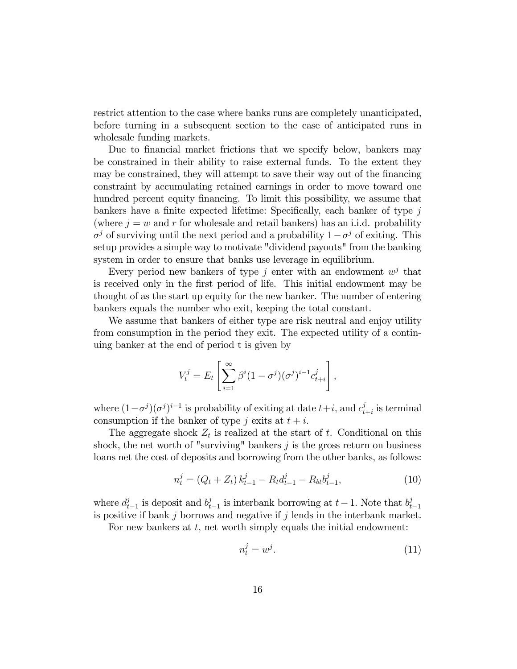restrict attention to the case where banks runs are completely unanticipated, before turning in a subsequent section to the case of anticipated runs in wholesale funding markets.

Due to financial market frictions that we specify below, bankers may be constrained in their ability to raise external funds. To the extent they may be constrained, they will attempt to save their way out of the financing constraint by accumulating retained earnings in order to move toward one hundred percent equity financing. To limit this possibility, we assume that bankers have a finite expected lifetime: Specifically, each banker of type  $i$ (where  $j = w$  and r for wholesale and retail bankers) has an i.i.d. probability  $\sigma^j$  of surviving until the next period and a probability  $1 - \sigma^j$  of exiting. This setup provides a simple way to motivate "dividend payouts" from the banking system in order to ensure that banks use leverage in equilibrium.

Every period new bankers of type j enter with an endowment  $w^j$  that is received only in the Örst period of life. This initial endowment may be thought of as the start up equity for the new banker. The number of entering bankers equals the number who exit, keeping the total constant.

We assume that bankers of either type are risk neutral and enjoy utility from consumption in the period they exit. The expected utility of a continuing banker at the end of period t is given by

$$
V_t^j = E_t \left[ \sum_{i=1}^{\infty} \beta^i (1 - \sigma^j) (\sigma^j)^{i-1} c_{t+i}^j \right],
$$

where  $(1-\sigma^j)(\sigma^j)^{i-1}$  is probability of exiting at date  $t+i$ , and  $c_t^j$  $t_{t+i}^{j}$  is terminal consumption if the banker of type j exits at  $t + i$ .

The aggregate shock  $Z_t$  is realized at the start of t. Conditional on this shock, the net worth of "surviving" bankers  $j$  is the gross return on business loans net the cost of deposits and borrowing from the other banks, as follows:

$$
n_t^j = (Q_t + Z_t) k_{t-1}^j - R_t d_{t-1}^j - R_{bt} b_{t-1}^j,
$$
\n(10)

where  $d_t^j$  $t_{t-1}$  is deposit and  $b_t^j$  $t_{t-1}$  is interbank borrowing at  $t-1$ . Note that  $b_t^j$  $t-1$ is positive if bank  $j$  borrows and negative if  $j$  lends in the interbank market.

For new bankers at  $t$ , net worth simply equals the initial endowment:

$$
n_t^j = w^j. \tag{11}
$$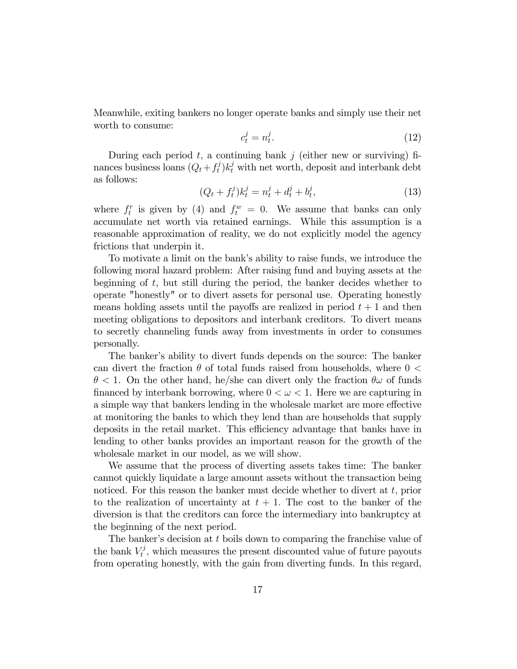Meanwhile, exiting bankers no longer operate banks and simply use their net worth to consume:

$$
c_t^j = n_t^j. \tag{12}
$$

During each period  $t$ , a continuing bank  $j$  (either new or surviving) finances business loans  $(Q_t + f_t^j)$  $(t<sub>t</sub>)k<sub>t</sub><sup>j</sup>$  with net worth, deposit and interbank debt as follows:

$$
(Q_t + f_t^j)k_t^j = n_t^j + d_t^j + b_t^j,
$$
\n(13)

where  $f_t^r$  is given by (4) and  $f_t^w = 0$ . We assume that banks can only accumulate net worth via retained earnings. While this assumption is a reasonable approximation of reality, we do not explicitly model the agency frictions that underpin it.

To motivate a limit on the bank's ability to raise funds, we introduce the following moral hazard problem: After raising fund and buying assets at the beginning of  $t$ , but still during the period, the banker decides whether to operate "honestly" or to divert assets for personal use. Operating honestly means holding assets until the payoffs are realized in period  $t + 1$  and then meeting obligations to depositors and interbank creditors. To divert means to secretly channeling funds away from investments in order to consumes personally.

The banker's ability to divert funds depends on the source: The banker can divert the fraction  $\theta$  of total funds raised from households, where  $0 <$  $\theta$  < 1. On the other hand, he/she can divert only the fraction  $\theta\omega$  of funds financed by interbank borrowing, where  $0 < \omega < 1$ . Here we are capturing in a simple way that bankers lending in the wholesale market are more effective at monitoring the banks to which they lend than are households that supply deposits in the retail market. This efficiency advantage that banks have in lending to other banks provides an important reason for the growth of the wholesale market in our model, as we will show.

We assume that the process of diverting assets takes time: The banker cannot quickly liquidate a large amount assets without the transaction being noticed. For this reason the banker must decide whether to divert at  $t$ , prior to the realization of uncertainty at  $t + 1$ . The cost to the banker of the diversion is that the creditors can force the intermediary into bankruptcy at the beginning of the next period.

The banker's decision at  $t$  boils down to comparing the franchise value of the bank  $V_t^j$  $t<sub>t</sub><sup>t</sup>$ , which measures the present discounted value of future payouts from operating honestly, with the gain from diverting funds. In this regard,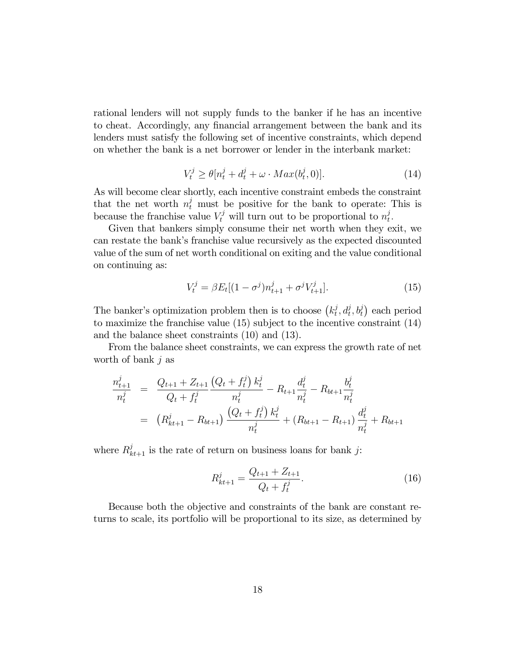rational lenders will not supply funds to the banker if he has an incentive to cheat. Accordingly, any financial arrangement between the bank and its lenders must satisfy the following set of incentive constraints, which depend on whether the bank is a net borrower or lender in the interbank market:

$$
V_t^j \ge \theta[n_t^j + d_t^j + \omega \cdot Max(b_t^j, 0)].\tag{14}
$$

As will become clear shortly, each incentive constraint embeds the constraint that the net worth  $n_t^j$  must be positive for the bank to operate: This is because the franchise value  $V_t^j$  will turn out to be proportional to  $n_t^j$  $\frac{j}{t}$ .

Given that bankers simply consume their net worth when they exit, we can restate the bankís franchise value recursively as the expected discounted value of the sum of net worth conditional on exiting and the value conditional on continuing as:

$$
V_t^j = \beta E_t [(1 - \sigma^j) n_{t+1}^j + \sigma^j V_{t+1}^j]. \tag{15}
$$

The banker's optimization problem then is to choose  $(k_t^j)$  $(t_t^j, d_t^j, b_t^j)$  each period to maximize the franchise value (15) subject to the incentive constraint (14) and the balance sheet constraints (10) and (13).

From the balance sheet constraints, we can express the growth rate of net worth of bank  $j$  as

$$
\frac{n_{t+1}^j}{n_t^j} = \frac{Q_{t+1} + Z_{t+1}}{Q_t + f_t^j} \frac{\left(Q_t + f_t^j\right) k_t^j}{n_t^j} - R_{t+1} \frac{d_t^j}{n_t^j} - R_{bt+1} \frac{b_t^j}{n_t^j}
$$
\n
$$
= \left(R_{kt+1}^j - R_{bt+1}\right) \frac{\left(Q_t + f_t^j\right) k_t^j}{n_t^j} + \left(R_{bt+1} - R_{t+1}\right) \frac{d_t^j}{n_t^j} + R_{bt+1}
$$

where  $R_{kt+1}^j$  is the rate of return on business loans for bank j:

$$
R_{kt+1}^j = \frac{Q_{t+1} + Z_{t+1}}{Q_t + f_t^j}.
$$
\n(16)

Because both the objective and constraints of the bank are constant returns to scale, its portfolio will be proportional to its size, as determined by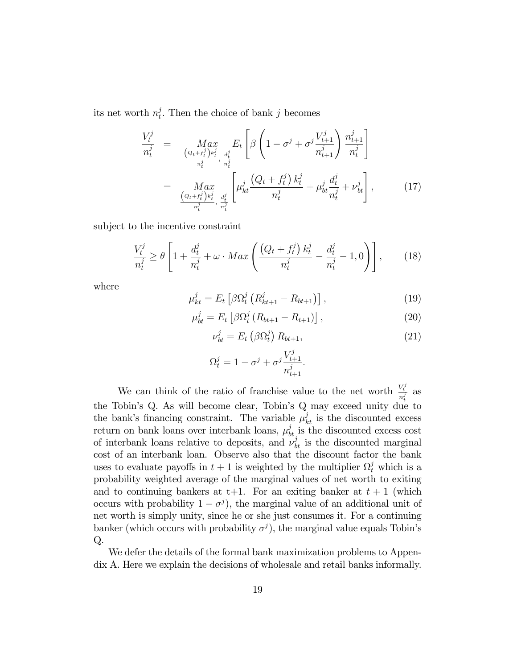its net worth  $n_t^j$  $t<sub>t</sub>$ . Then the choice of bank j becomes

$$
\frac{V_t^j}{n_t^j} = \underset{\begin{array}{c} (Q_t + f_t^j)k_t^j \\ \frac{d_t^j}{n_t^j}, \frac{d_t^j}{n_t^j} \end{array}}{\text{Max}} E_t \left[ \beta \left( 1 - \sigma^j + \sigma^j \frac{V_{t+1}^j}{n_{t+1}^j} \right) \frac{n_{t+1}^j}{n_t^j} \right]
$$
\n
$$
= \underset{\begin{array}{c} (Q_t + f_t^j)k_t^j}{\frac{d_t^j}{n_t^j}, \frac{d_t^j}{n_t^j} \end{array}}{\text{Max}} \left[ \mu_{kt}^j \frac{(Q_t + f_t^j) k_t^j}{n_t^j} + \mu_{bt}^j \frac{d_t^j}{n_t^j} + \nu_{bt}^j \right], \tag{17}
$$

subject to the incentive constraint

$$
\frac{V_t^j}{n_t^j} \ge \theta \left[ 1 + \frac{d_t^j}{n_t^j} + \omega \cdot Max \left( \frac{\left(Q_t + f_t^j\right) k_t^j}{n_t^j} - \frac{d_t^j}{n_t^j} - 1, 0 \right) \right],\tag{18}
$$

where

$$
\mu_{kt}^j = E_t \left[ \beta \Omega_t^j \left( R_{kt+1}^j - R_{bt+1} \right) \right], \tag{19}
$$

$$
\mu_{bt}^{j} = E_{t} \left[ \beta \Omega_{t}^{j} \left( R_{bt+1} - R_{t+1} \right) \right], \tag{20}
$$

$$
\nu_{bt}^j = E_t \left( \beta \Omega_t^j \right) R_{bt+1}, \tag{21}
$$

$$
\Omega_t^j = 1 - \sigma^j + \sigma^j \frac{V_{t+1}^j}{n_{t+1}^j}.
$$

We can think of the ratio of franchise value to the net worth  $\frac{V_t^j}{n_t^j}$  as the Tobin's Q. As will become clear, Tobin's Q may exceed unity due to the bank's financing constraint. The variable  $\mu_{kt}^{j}$  is the discounted excess return on bank loans over interbank loans,  $\mu_{bt}^{j}$  is the discounted excess cost of interbank loans relative to deposits, and  $\tilde{\nu}_{bt}^{j}$  is the discounted marginal cost of an interbank loan. Observe also that the discount factor the bank uses to evaluate payoffs in  $t + 1$  is weighted by the multiplier  $\Omega_t^j$  which is a probability weighted average of the marginal values of net worth to exiting and to continuing bankers at  $t+1$ . For an exiting banker at  $t+1$  (which occurs with probability  $1 - \sigma^j$ , the marginal value of an additional unit of net worth is simply unity, since he or she just consumes it. For a continuing banker (which occurs with probability  $\sigma^j$ ), the marginal value equals Tobin's  $Q$ .

We defer the details of the formal bank maximization problems to Appendix A. Here we explain the decisions of wholesale and retail banks informally.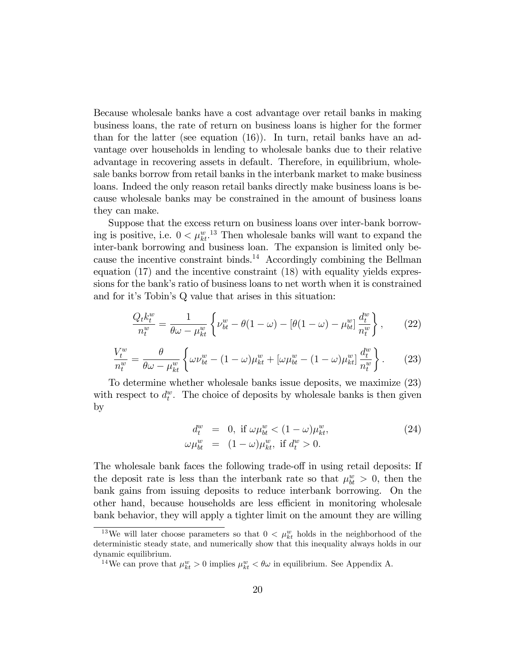Because wholesale banks have a cost advantage over retail banks in making business loans, the rate of return on business loans is higher for the former than for the latter (see equation (16)). In turn, retail banks have an advantage over households in lending to wholesale banks due to their relative advantage in recovering assets in default. Therefore, in equilibrium, wholesale banks borrow from retail banks in the interbank market to make business loans. Indeed the only reason retail banks directly make business loans is because wholesale banks may be constrained in the amount of business loans they can make.

Suppose that the excess return on business loans over inter-bank borrowing is positive, i.e.  $0 < \mu_{kt}^w$ .<sup>13</sup> Then wholesale banks will want to expand the inter-bank borrowing and business loan. The expansion is limited only because the incentive constraint binds.<sup>14</sup> Accordingly combining the Bellman equation (17) and the incentive constraint (18) with equality yields expressions for the bank's ratio of business loans to net worth when it is constrained and for it's Tobin's Q value that arises in this situation:

$$
\frac{Q_t k_t^w}{n_t^w} = \frac{1}{\theta \omega - \mu_{kt}^w} \left\{ \nu_{bt}^w - \theta (1 - \omega) - \left[ \theta (1 - \omega) - \mu_{bt}^w \right] \frac{d_t^w}{n_t^w} \right\},\qquad(22)
$$

$$
\frac{V_t^w}{n_t^w} = \frac{\theta}{\theta\omega - \mu_{kt}^w} \left\{ \omega \nu_{bt}^w - (1 - \omega)\mu_{kt}^w + [\omega \mu_{bt}^w - (1 - \omega)\mu_{kt}^w] \frac{d_t^w}{n_t^w} \right\}.
$$
 (23)

To determine whether wholesale banks issue deposits, we maximize (23) with respect to  $d_t^w$ . The choice of deposits by wholesale banks is then given by

$$
d_t^w = 0, \text{ if } \omega \mu_{bt}^w < (1 - \omega)\mu_{kt}^w,
$$
  

$$
\omega \mu_{bt}^w = (1 - \omega)\mu_{kt}^w, \text{ if } d_t^w > 0.
$$
 (24)

The wholesale bank faces the following trade-off in using retail deposits: If the deposit rate is less than the interbank rate so that  $\mu_{bt}^w > 0$ , then the bank gains from issuing deposits to reduce interbank borrowing. On the other hand, because households are less efficient in monitoring wholesale bank behavior, they will apply a tighter limit on the amount they are willing

<sup>&</sup>lt;sup>13</sup>We will later choose parameters so that  $0 < \mu_{kt}^w$  holds in the neighborhood of the deterministic steady state, and numerically show that this inequality always holds in our dynamic equilibrium.

<sup>&</sup>lt;sup>14</sup>We can prove that  $\mu_{kt}^w > 0$  implies  $\mu_{kt}^w < \theta \omega$  in equilibrium. See Appendix A.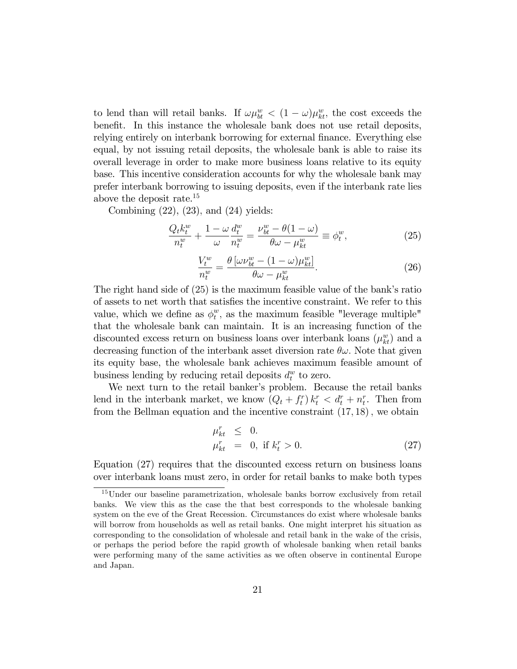to lend than will retail banks. If  $\omega \mu_{bt}^w < (1 - \omega) \mu_{kt}^w$ , the cost exceeds the benefit. In this instance the wholesale bank does not use retail deposits, relying entirely on interbank borrowing for external finance. Everything else equal, by not issuing retail deposits, the wholesale bank is able to raise its overall leverage in order to make more business loans relative to its equity base. This incentive consideration accounts for why the wholesale bank may prefer interbank borrowing to issuing deposits, even if the interbank rate lies above the deposit rate.<sup>15</sup>

Combining  $(22)$ ,  $(23)$ , and  $(24)$  yields:

$$
\frac{Q_t k_t^w}{n_t^w} + \frac{1 - \omega}{\omega} \frac{d_t^w}{n_t^w} = \frac{\nu_{bt}^w - \theta(1 - \omega)}{\theta \omega - \mu_{kt}^w} \equiv \phi_t^w,
$$
\n(25)

$$
\frac{V_t^w}{n_t^w} = \frac{\theta \left[ \omega \nu_{bt}^w - (1 - \omega) \mu_{kt}^w \right]}{\theta \omega - \mu_{kt}^w}.
$$
\n(26)

The right hand side of  $(25)$  is the maximum feasible value of the bank's ratio of assets to net worth that satisfies the incentive constraint. We refer to this value, which we define as  $\phi_t^w$  $_t^w$ , as the maximum feasible "leverage multiple" that the wholesale bank can maintain. It is an increasing function of the discounted excess return on business loans over interbank loans  $(\mu_{kt}^w)$  and a decreasing function of the interbank asset diversion rate  $\theta\omega$ . Note that given its equity base, the wholesale bank achieves maximum feasible amount of business lending by reducing retail deposits  $d_t^w$  to zero.

We next turn to the retail banker's problem. Because the retail banks lend in the interbank market, we know  $(Q_t + f_t^r) k_t^r < d_t^r + n_t^r$ . Then from from the Bellman equation and the incentive constraint  $(17, 18)$ , we obtain

$$
\begin{array}{rcl}\n\mu_{kt}^r & \leq & 0. \\
\mu_{kt}^r & = & 0, \text{ if } k_t^r > 0.\n\end{array} \tag{27}
$$

Equation (27) requires that the discounted excess return on business loans over interbank loans must zero, in order for retail banks to make both types

<sup>&</sup>lt;sup>15</sup>Under our baseline parametrization, wholesale banks borrow exclusively from retail banks. We view this as the case the that best corresponds to the wholesale banking system on the eve of the Great Recession. Circumstances do exist where wholesale banks will borrow from households as well as retail banks. One might interpret his situation as corresponding to the consolidation of wholesale and retail bank in the wake of the crisis, or perhaps the period before the rapid growth of wholesale banking when retail banks were performing many of the same activities as we often observe in continental Europe and Japan.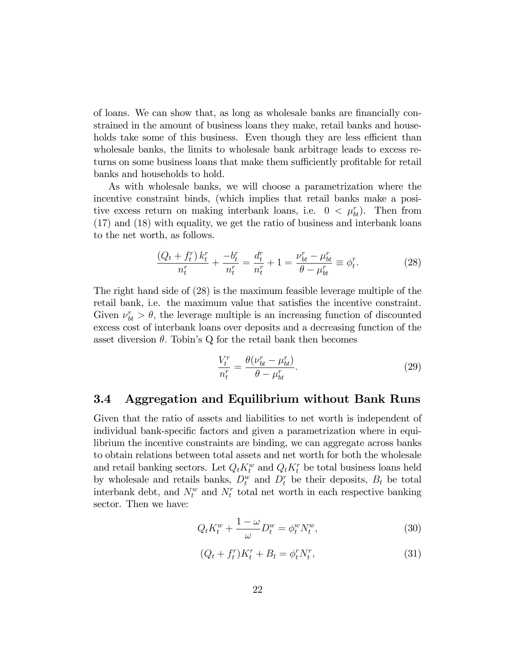of loans. We can show that, as long as wholesale banks are financially constrained in the amount of business loans they make, retail banks and households take some of this business. Even though they are less efficient than wholesale banks, the limits to wholesale bank arbitrage leads to excess returns on some business loans that make them sufficiently profitable for retail banks and households to hold.

As with wholesale banks, we will choose a parametrization where the incentive constraint binds, (which implies that retail banks make a positive excess return on making interbank loans, i.e.  $0 < \mu_{bt}^r$ . Then from (17) and (18) with equality, we get the ratio of business and interbank loans to the net worth, as follows.

$$
\frac{(Q_t + f_t^r) k_t^r}{n_t^r} + \frac{-b_t^r}{n_t^r} = \frac{d_t^r}{n_t^r} + 1 = \frac{\nu_{bt}^r - \mu_{bt}^r}{\theta - \mu_{bt}^r} \equiv \phi_t^r.
$$
 (28)

The right hand side of (28) is the maximum feasible leverage multiple of the retail bank, i.e. the maximum value that satisfies the incentive constraint. Given  $\nu_{bt}^r > \theta$ , the leverage multiple is an increasing function of discounted excess cost of interbank loans over deposits and a decreasing function of the asset diversion  $\theta$ . Tobin's Q for the retail bank then becomes

$$
\frac{V_t^r}{n_t^r} = \frac{\theta(\nu_{bt}^r - \mu_{bt}^r)}{\theta - \mu_{bt}^r}.
$$
\n(29)

### 3.4 Aggregation and Equilibrium without Bank Runs

Given that the ratio of assets and liabilities to net worth is independent of individual bank-specific factors and given a parametrization where in equilibrium the incentive constraints are binding, we can aggregate across banks to obtain relations between total assets and net worth for both the wholesale and retail banking sectors. Let  $Q_t K_t^w$  and  $Q_t K_t^r$  be total business loans held by wholesale and retails banks,  $D_t^w$  and  $D_t^r$  be their deposits,  $B_t$  be total interbank debt, and  $N_t^w$  and  $N_t^r$  total net worth in each respective banking sector. Then we have:

$$
Q_t K_t^w + \frac{1 - \omega}{\omega} D_t^w = \phi_t^w N_t^w,
$$
\n(30)

$$
(Q_t + f_t^r)K_t^r + B_t = \phi_t^r N_t^r,\tag{31}
$$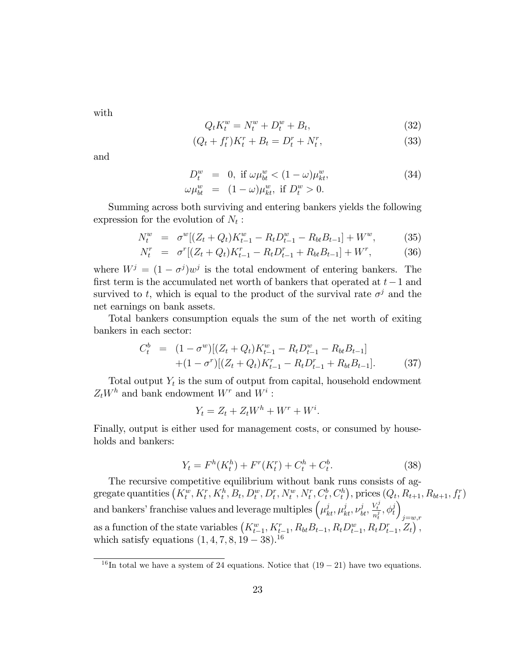with

$$
Q_t K_t^w = N_t^w + D_t^w + B_t, \t\t(32)
$$

$$
(Q_t + f_t^r)K_t^r + B_t = D_t^r + N_t^r,
$$
\n(33)

and

$$
D_t^w = 0, \text{ if } \omega \mu_{bt}^w < (1 - \omega)\mu_{kt}^w,
$$
  

$$
\omega \mu_{bt}^w = (1 - \omega)\mu_{kt}^w, \text{ if } D_t^w > 0.
$$
 (34)

Summing across both surviving and entering bankers yields the following expression for the evolution of  $N_t$ :

$$
N_t^w = \sigma^w [(Z_t + Q_t) K_{t-1}^w - R_t D_{t-1}^w - R_{bt} B_{t-1}] + W^w, \tag{35}
$$

$$
N_t^r = \sigma^r [(Z_t + Q_t)K_{t-1}^r - R_t D_{t-1}^r + R_{bt} B_{t-1}] + W^r, \tag{36}
$$

where  $W^j = (1 - \sigma^j)w^j$  is the total endowment of entering bankers. The first term is the accumulated net worth of bankers that operated at  $t-1$  and survived to t, which is equal to the product of the survival rate  $\sigma^j$  and the net earnings on bank assets:

Total bankers consumption equals the sum of the net worth of exiting bankers in each sector:

$$
C_t^b = (1 - \sigma^w)[(Z_t + Q_t)K_{t-1}^w - R_t D_{t-1}^w - R_{bt} B_{t-1}] + (1 - \sigma^r)[(Z_t + Q_t)K_{t-1}^r - R_t D_{t-1}^r + R_{bt} B_{t-1}].
$$
 (37)

Total output  $Y_t$  is the sum of output from capital, household endowment  $Z_t W^h$  and bank endowment  $W^r$  and  $W^i$ :

$$
Y_t = Z_t + Z_t W^h + W^r + W^i.
$$

Finally, output is either used for management costs, or consumed by households and bankers:

$$
Y_t = F^h(K_t^h) + F^r(K_t^r) + C_t^h + C_t^b.
$$
\n(38)

The recursive competitive equilibrium without bank runs consists of aggregate quantities  $(K_t^w, K_t^r, K_t^h, B_t, D_t^w, D_t^r, N_t^w, N_t^r, C_t^b, C_t^h)$ , prices  $(Q_t, R_{t+1}, R_{bt+1}, f_t^r)$ and bankers' franchise values and leverage multiples  $\left(\mu_{kt}^j, \mu_{kt}^j, \nu_{bt}^j, \frac{V_t^j}{n_t^j}, \phi_t^j\right)$  $\overline{ }$  $j = w,r$ as a function of the state variables  $(K_{t-1}^w, K_{t-1}^r, R_{bt}B_{t-1}, R_t D_{t-1}^w, R_t D_{t-1}^r, Z_t)$ , which satisfy equations  $(1, 4, 7, 8, 19 - 38).^{16}$ 

<sup>&</sup>lt;sup>16</sup>In total we have a system of 24 equations. Notice that  $(19-21)$  have two equations.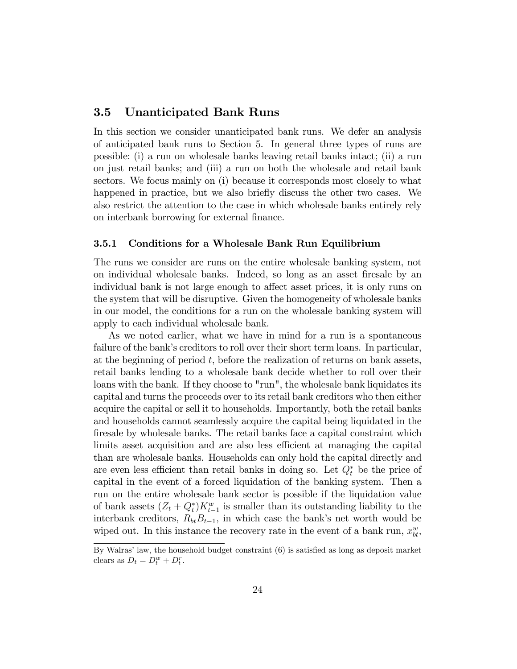### 3.5 Unanticipated Bank Runs

In this section we consider unanticipated bank runs. We defer an analysis of anticipated bank runs to Section 5. In general three types of runs are possible: (i) a run on wholesale banks leaving retail banks intact; (ii) a run on just retail banks; and (iii) a run on both the wholesale and retail bank sectors. We focus mainly on (i) because it corresponds most closely to what happened in practice, but we also briefly discuss the other two cases. We also restrict the attention to the case in which wholesale banks entirely rely on interbank borrowing for external finance.

#### 3.5.1 Conditions for a Wholesale Bank Run Equilibrium

The runs we consider are runs on the entire wholesale banking system, not on individual wholesale banks. Indeed, so long as an asset Öresale by an individual bank is not large enough to affect asset prices, it is only runs on the system that will be disruptive. Given the homogeneity of wholesale banks in our model, the conditions for a run on the wholesale banking system will apply to each individual wholesale bank.

As we noted earlier, what we have in mind for a run is a spontaneous failure of the bank's creditors to roll over their short term loans. In particular, at the beginning of period  $t$ , before the realization of returns on bank assets, retail banks lending to a wholesale bank decide whether to roll over their loans with the bank. If they choose to "run", the wholesale bank liquidates its capital and turns the proceeds over to its retail bank creditors who then either acquire the capital or sell it to households. Importantly, both the retail banks and households cannot seamlessly acquire the capital being liquidated in the firesale by wholesale banks. The retail banks face a capital constraint which limits asset acquisition and are also less efficient at managing the capital than are wholesale banks. Households can only hold the capital directly and are even less efficient than retail banks in doing so. Let  $Q_t^*$  be the price of capital in the event of a forced liquidation of the banking system. Then a run on the entire wholesale bank sector is possible if the liquidation value of bank assets  $(Z_t + Q_t^*)K_{t-1}^w$  is smaller than its outstanding liability to the interbank creditors,  $R_{bt}B_{t-1}$ , in which case the bank's net worth would be wiped out. In this instance the recovery rate in the event of a bank run,  $x_{bt}^w$ ,

By Walras' law, the household budget constraint  $(6)$  is satisfied as long as deposit market clears as  $D_t = D_t^w + D_t^r$ .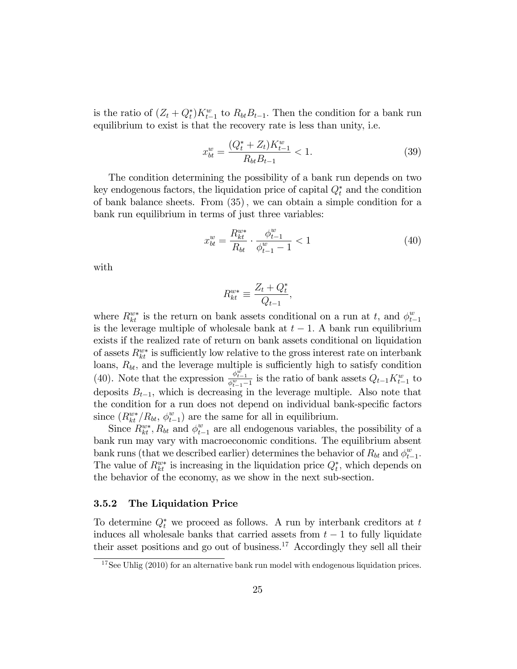is the ratio of  $(Z_t + Q_t^*)K_{t-1}^w$  to  $R_{bt}B_{t-1}$ . Then the condition for a bank run equilibrium to exist is that the recovery rate is less than unity, i.e.

$$
x_{bt}^w = \frac{(Q_t^* + Z_t)K_{t-1}^w}{R_{bt}B_{t-1}} < 1. \tag{39}
$$

The condition determining the possibility of a bank run depends on two key endogenous factors, the liquidation price of capital  $Q_t^*$  and the condition of bank balance sheets. From (35); we can obtain a simple condition for a bank run equilibrium in terms of just three variables:

$$
x_{bt}^w = \frac{R_{kt}^{w*}}{R_{bt}} \cdot \frac{\phi_{t-1}^w}{\phi_{t-1}^w - 1} < 1\tag{40}
$$

with

$$
R_{kt}^{w*} \equiv \frac{Z_t + Q_t^*}{Q_{t-1}},
$$

where  $R_{kt}^{w*}$  is the return on bank assets conditional on a run at t, and  $\phi_{t}^{w*}$  $t-1$ is the leverage multiple of wholesale bank at  $t-1$ . A bank run equilibrium exists if the realized rate of return on bank assets conditional on liquidation of assets  $R_{kt}^{w*}$  is sufficiently low relative to the gross interest rate on interbank loans,  $R_{bt}$ , and the leverage multiple is sufficiently high to satisfy condition (40). Note that the expression  $\frac{\phi_{t-1}^{\psi_{t-1}}}{\phi_{t-1}^{\psi_{t-1}}}$  is the ratio of bank assets  $Q_{t-1}K_{t-1}^w$  to deposits  $B_{t-1}$ , which is decreasing in the leverage multiple. Also note that the condition for a run does not depend on individual bank-specific factors since  $(R_{kt}^{w*}/R_{bt}, \phi_{t}^{w})$  $\binom{w}{t-1}$  are the same for all in equilibrium.

Since  $R_{kt}^{w*}$ ,  $R_{bt}$  and  $\phi_{t-1}^{w}$  are all endogenous variables, the possibility of a bank run may vary with macroeconomic conditions. The equilibrium absent bank runs (that we described earlier) determines the behavior of  $R_{bt}$  and  $\phi_t^w$ .  $_{t-1}^w$ . The value of  $R_{kt}^{w*}$  is increasing in the liquidation price  $Q_t^*$ , which depends on the behavior of the economy, as we show in the next sub-section.

#### 3.5.2 The Liquidation Price

To determine  $Q_t^*$  we proceed as follows. A run by interbank creditors at t induces all wholesale banks that carried assets from  $t - 1$  to fully liquidate their asset positions and go out of business. $17$  Accordingly they sell all their

 $17$ See Uhlig (2010) for an alternative bank run model with endogenous liquidation prices.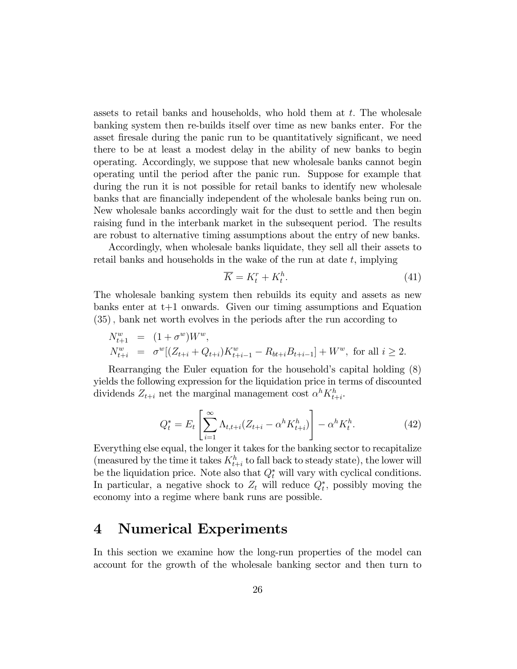assets to retail banks and households, who hold them at  $t$ . The wholesale banking system then re-builds itself over time as new banks enter. For the asset firesale during the panic run to be quantitatively significant, we need there to be at least a modest delay in the ability of new banks to begin operating. Accordingly, we suppose that new wholesale banks cannot begin operating until the period after the panic run. Suppose for example that during the run it is not possible for retail banks to identify new wholesale banks that are financially independent of the wholesale banks being run on. New wholesale banks accordingly wait for the dust to settle and then begin raising fund in the interbank market in the subsequent period. The results are robust to alternative timing assumptions about the entry of new banks.

Accordingly, when wholesale banks liquidate, they sell all their assets to retail banks and households in the wake of the run at date  $t$ , implying

$$
\overline{K} = K_t^r + K_t^h. \tag{41}
$$

The wholesale banking system then rebuilds its equity and assets as new banks enter at t+1 onwards. Given our timing assumptions and Equation (35), bank net worth evolves in the periods after the run according to

$$
N_{t+1}^w = (1 + \sigma^w) W^w,
$$
  
\n
$$
N_{t+i}^w = \sigma^w [(Z_{t+i} + Q_{t+i}) K_{t+i-1}^w - R_{bt+i} B_{t+i-1}] + W^w
$$
, for all  $i \ge 2$ .

Rearranging the Euler equation for the household's capital holding  $(8)$ yields the following expression for the liquidation price in terms of discounted dividends  $Z_{t+i}$  net the marginal management cost  $\alpha^{h} K_{t+i}^{h}$ .

$$
Q_t^* = E_t \left[ \sum_{i=1}^{\infty} \Lambda_{t, t+i} (Z_{t+i} - \alpha^h K_{t+i}^h) \right] - \alpha^h K_t^h. \tag{42}
$$

Everything else equal, the longer it takes for the banking sector to recapitalize (measured by the time it takes  $K_{t+i}^h$  to fall back to steady state), the lower will be the liquidation price. Note also that  $Q_t^*$  will vary with cyclical conditions. In particular, a negative shock to  $Z_t$  will reduce  $Q_t^*$ , possibly moving the economy into a regime where bank runs are possible.

# 4 Numerical Experiments

In this section we examine how the long-run properties of the model can account for the growth of the wholesale banking sector and then turn to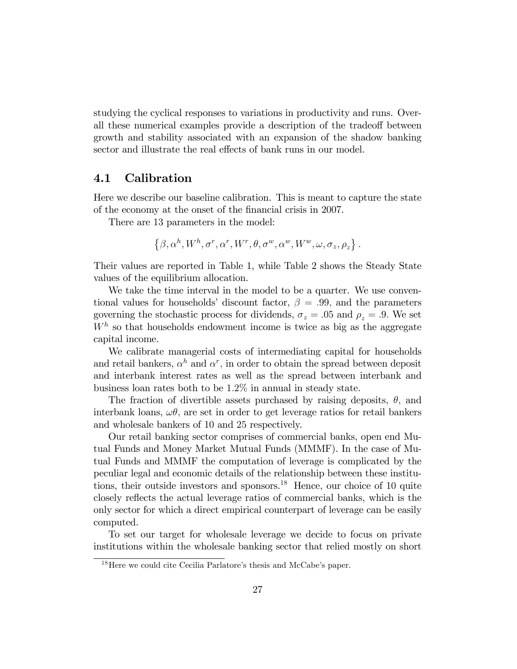studying the cyclical responses to variations in productivity and runs. Overall these numerical examples provide a description of the tradeoff between growth and stability associated with an expansion of the shadow banking sector and illustrate the real effects of bank runs in our model.

### 4.1 Calibration

Here we describe our baseline calibration. This is meant to capture the state of the economy at the onset of the Önancial crisis in 2007.

There are 13 parameters in the model:

$$
\left\{\beta, \alpha^h, W^h, \sigma^r, \alpha^r, W^r, \theta, \sigma^w, \alpha^w, W^w, \omega, \sigma_z, \rho_z\right\}.
$$

Their values are reported in Table 1, while Table 2 shows the Steady State values of the equilibrium allocation.

We take the time interval in the model to be a quarter. We use conventional values for households' discount factor,  $\beta = .99$ , and the parameters governing the stochastic process for dividends,  $\sigma_z = .05$  and  $\rho_z = .9$ . We set  $W<sup>h</sup>$  so that households endowment income is twice as big as the aggregate capital income.

We calibrate managerial costs of intermediating capital for households and retail bankers,  $\alpha^h$  and  $\alpha^r$ , in order to obtain the spread between deposit and interbank interest rates as well as the spread between interbank and business loan rates both to be 1:2% in annual in steady state.

The fraction of divertible assets purchased by raising deposits,  $\theta$ , and interbank loans,  $\omega\theta$ , are set in order to get leverage ratios for retail bankers and wholesale bankers of 10 and 25 respectively.

Our retail banking sector comprises of commercial banks, open end Mutual Funds and Money Market Mutual Funds (MMMF). In the case of Mutual Funds and MMMF the computation of leverage is complicated by the peculiar legal and economic details of the relationship between these institutions, their outside investors and sponsors.<sup>18</sup> Hence, our choice of 10 quite closely reflects the actual leverage ratios of commercial banks, which is the only sector for which a direct empirical counterpart of leverage can be easily computed.

To set our target for wholesale leverage we decide to focus on private institutions within the wholesale banking sector that relied mostly on short

 $18$ Here we could cite Cecilia Parlatore's thesis and McCabe's paper.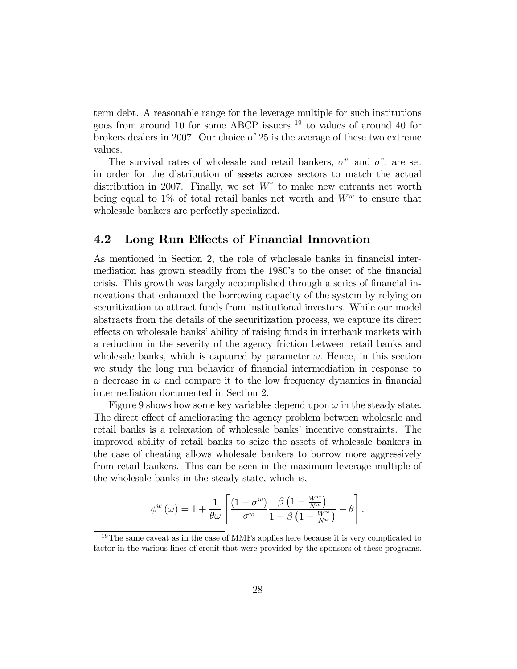term debt. A reasonable range for the leverage multiple for such institutions goes from around 10 for some ABCP issuers  $^{19}$  to values of around 40 for brokers dealers in 2007. Our choice of 25 is the average of these two extreme values.

The survival rates of wholesale and retail bankers,  $\sigma^w$  and  $\sigma^r$ , are set in order for the distribution of assets across sectors to match the actual distribution in 2007. Finally, we set  $W<sup>r</sup>$  to make new entrants net worth being equal to 1% of total retail banks net worth and  $W^w$  to ensure that wholesale bankers are perfectly specialized.

### 4.2 Long Run Effects of Financial Innovation

As mentioned in Section 2, the role of wholesale banks in financial intermediation has grown steadily from the 1980's to the onset of the financial crisis. This growth was largely accomplished through a series of financial innovations that enhanced the borrowing capacity of the system by relying on securitization to attract funds from institutional investors. While our model abstracts from the details of the securitization process, we capture its direct effects on wholesale banks' ability of raising funds in interbank markets with a reduction in the severity of the agency friction between retail banks and wholesale banks, which is captured by parameter  $\omega$ . Hence, in this section we study the long run behavior of financial intermediation in response to a decrease in  $\omega$  and compare it to the low frequency dynamics in financial intermediation documented in Section 2.

Figure 9 shows how some key variables depend upon  $\omega$  in the steady state. The direct effect of ameliorating the agency problem between wholesale and retail banks is a relaxation of wholesale banks' incentive constraints. The improved ability of retail banks to seize the assets of wholesale bankers in the case of cheating allows wholesale bankers to borrow more aggressively from retail bankers. This can be seen in the maximum leverage multiple of the wholesale banks in the steady state, which is,

$$
\phi^{w}(\omega) = 1 + \frac{1}{\theta\omega} \left[ \frac{(1-\sigma^{w})}{\sigma^{w}} \frac{\beta \left(1 - \frac{W^{w}}{N^{w}}\right)}{1 - \beta \left(1 - \frac{W^{w}}{N^{w}}\right)} - \theta \right].
$$

<sup>&</sup>lt;sup>19</sup>The same caveat as in the case of MMFs applies here because it is very complicated to factor in the various lines of credit that were provided by the sponsors of these programs.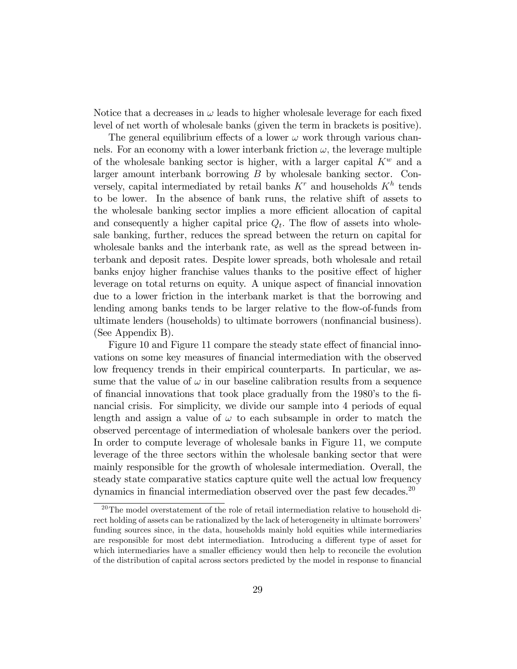Notice that a decreases in  $\omega$  leads to higher wholesale leverage for each fixed level of net worth of wholesale banks (given the term in brackets is positive).

The general equilibrium effects of a lower  $\omega$  work through various channels. For an economy with a lower interbank friction  $\omega$ , the leverage multiple of the wholesale banking sector is higher, with a larger capital  $K^w$  and a larger amount interbank borrowing B by wholesale banking sector. Conversely, capital intermediated by retail banks  $K<sup>r</sup>$  and households  $K<sup>h</sup>$  tends to be lower. In the absence of bank runs, the relative shift of assets to the wholesale banking sector implies a more efficient allocation of capital and consequently a higher capital price  $Q_t$ . The flow of assets into wholesale banking, further, reduces the spread between the return on capital for wholesale banks and the interbank rate, as well as the spread between interbank and deposit rates. Despite lower spreads, both wholesale and retail banks enjoy higher franchise values thanks to the positive effect of higher leverage on total returns on equity. A unique aspect of financial innovation due to a lower friction in the interbank market is that the borrowing and lending among banks tends to be larger relative to the flow-of-funds from ultimate lenders (households) to ultimate borrowers (nonfinancial business). (See Appendix B).

Figure 10 and Figure 11 compare the steady state effect of financial innovations on some key measures of financial intermediation with the observed low frequency trends in their empirical counterparts. In particular, we assume that the value of  $\omega$  in our baseline calibration results from a sequence of financial innovations that took place gradually from the 1980's to the financial crisis. For simplicity, we divide our sample into 4 periods of equal length and assign a value of  $\omega$  to each subsample in order to match the observed percentage of intermediation of wholesale bankers over the period. In order to compute leverage of wholesale banks in Figure 11, we compute leverage of the three sectors within the wholesale banking sector that were mainly responsible for the growth of wholesale intermediation. Overall, the steady state comparative statics capture quite well the actual low frequency dynamics in financial intermediation observed over the past few decades.<sup>20</sup>

<sup>&</sup>lt;sup>20</sup>The model overstatement of the role of retail intermediation relative to household direct holding of assets can be rationalized by the lack of heterogeneity in ultimate borrowers' funding sources since, in the data, households mainly hold equities while intermediaries are responsible for most debt intermediation. Introducing a different type of asset for which intermediaries have a smaller efficiency would then help to reconcile the evolution of the distribution of capital across sectors predicted by the model in response to Önancial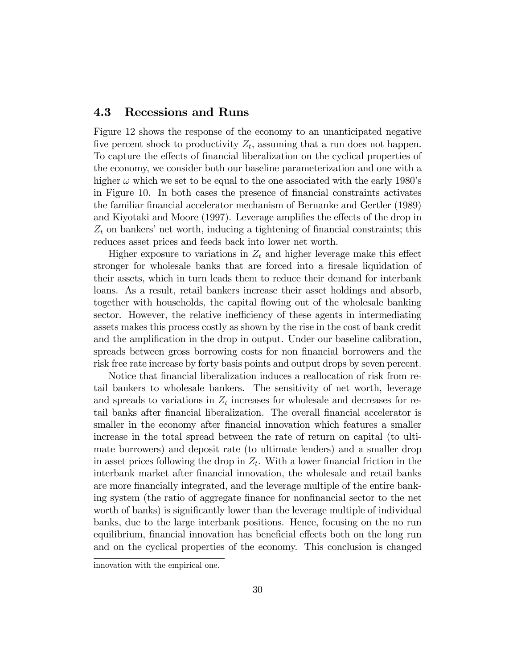### 4.3 Recessions and Runs

Figure 12 shows the response of the economy to an unanticipated negative five percent shock to productivity  $Z_t$ , assuming that a run does not happen. To capture the effects of financial liberalization on the cyclical properties of the economy, we consider both our baseline parameterization and one with a higher  $\omega$  which we set to be equal to the one associated with the early 1980's in Figure 10. In both cases the presence of Önancial constraints activates the familiar financial accelerator mechanism of Bernanke and Gertler (1989) and Kiyotaki and Moore (1997). Leverage amplifies the effects of the drop in  $Z_t$  on bankers' net worth, inducing a tightening of financial constraints; this reduces asset prices and feeds back into lower net worth.

Higher exposure to variations in  $Z_t$  and higher leverage make this effect stronger for wholesale banks that are forced into a firesale liquidation of their assets, which in turn leads them to reduce their demand for interbank loans. As a result, retail bankers increase their asset holdings and absorb, together with households, the capital áowing out of the wholesale banking sector. However, the relative inefficiency of these agents in intermediating assets makes this process costly as shown by the rise in the cost of bank credit and the amplification in the drop in output. Under our baseline calibration, spreads between gross borrowing costs for non financial borrowers and the risk free rate increase by forty basis points and output drops by seven percent:

Notice that financial liberalization induces a reallocation of risk from retail bankers to wholesale bankers. The sensitivity of net worth, leverage and spreads to variations in  $Z_t$  increases for wholesale and decreases for retail banks after financial liberalization. The overall financial accelerator is smaller in the economy after financial innovation which features a smaller increase in the total spread between the rate of return on capital (to ultimate borrowers) and deposit rate (to ultimate lenders) and a smaller drop in asset prices following the drop in  $Z_t$ . With a lower financial friction in the interbank market after Önancial innovation, the wholesale and retail banks are more financially integrated, and the leverage multiple of the entire banking system (the ratio of aggregate finance for nonfinancial sector to the net worth of banks) is significantly lower than the leverage multiple of individual banks, due to the large interbank positions. Hence, focusing on the no run equilibrium, financial innovation has beneficial effects both on the long run and on the cyclical properties of the economy. This conclusion is changed

innovation with the empirical one.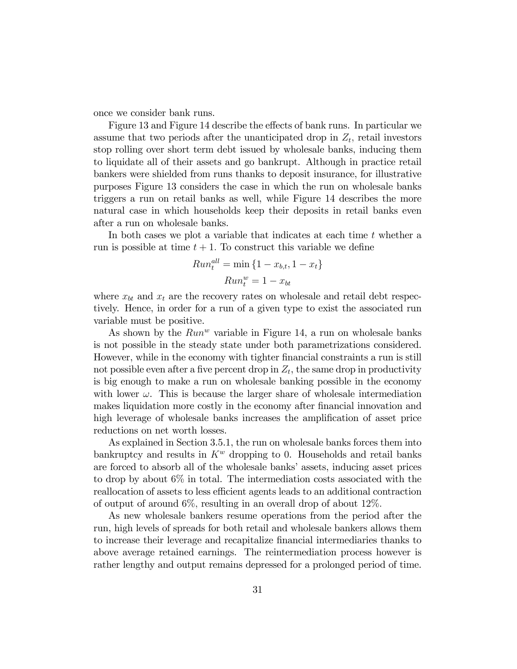once we consider bank runs.

Figure 13 and Figure 14 describe the effects of bank runs. In particular we assume that two periods after the unanticipated drop in  $Z_t$ , retail investors stop rolling over short term debt issued by wholesale banks, inducing them to liquidate all of their assets and go bankrupt. Although in practice retail bankers were shielded from runs thanks to deposit insurance, for illustrative purposes Figure 13 considers the case in which the run on wholesale banks triggers a run on retail banks as well, while Figure 14 describes the more natural case in which households keep their deposits in retail banks even after a run on wholesale banks.

In both cases we plot a variable that indicates at each time  $t$  whether a run is possible at time  $t + 1$ . To construct this variable we define

$$
Run_t^{all} = \min\left\{1 - x_{b,t}, 1 - x_t\right\}
$$

$$
Run_t^w = 1 - x_{bt}
$$

where  $x_{bt}$  and  $x_t$  are the recovery rates on wholesale and retail debt respectively. Hence, in order for a run of a given type to exist the associated run variable must be positive.

As shown by the  $Run^w$  variable in Figure 14, a run on wholesale banks is not possible in the steady state under both parametrizations considered. However, while in the economy with tighter financial constraints a run is still not possible even after a five percent drop in  $Z_t$ , the same drop in productivity is big enough to make a run on wholesale banking possible in the economy with lower  $\omega$ . This is because the larger share of wholesale intermediation makes liquidation more costly in the economy after financial innovation and high leverage of wholesale banks increases the amplification of asset price reductions on net worth losses.

As explained in Section 3.5.1, the run on wholesale banks forces them into bankruptcy and results in  $K^w$  dropping to 0. Households and retail banks are forced to absorb all of the wholesale banks' assets, inducing asset prices to drop by about 6% in total. The intermediation costs associated with the reallocation of assets to less efficient agents leads to an additional contraction of output of around  $6\%$ , resulting in an overall drop of about  $12\%$ .

As new wholesale bankers resume operations from the period after the run, high levels of spreads for both retail and wholesale bankers allows them to increase their leverage and recapitalize Önancial intermediaries thanks to above average retained earnings. The reintermediation process however is rather lengthy and output remains depressed for a prolonged period of time.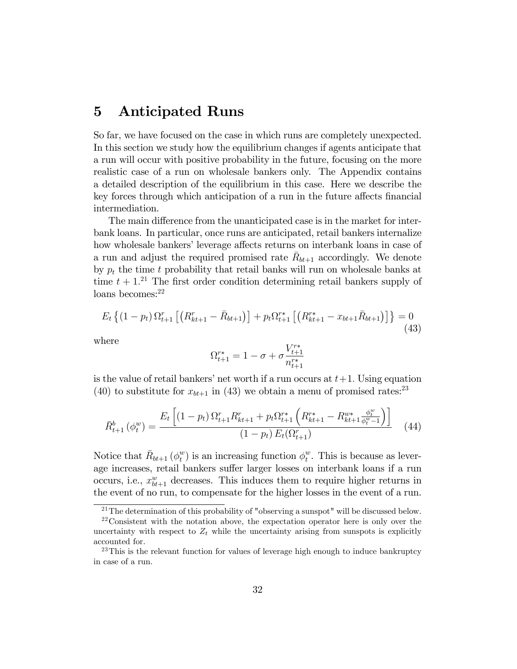## 5 Anticipated Runs

So far, we have focused on the case in which runs are completely unexpected. In this section we study how the equilibrium changes if agents anticipate that a run will occur with positive probability in the future, focusing on the more realistic case of a run on wholesale bankers only. The Appendix contains a detailed description of the equilibrium in this case. Here we describe the key forces through which anticipation of a run in the future affects financial intermediation.

The main difference from the unanticipated case is in the market for interbank loans. In particular, once runs are anticipated, retail bankers internalize how wholesale bankers' leverage affects returns on interbank loans in case of a run and adjust the required promised rate  $\bar{R}_{bt+1}$  accordingly. We denote by  $p_t$  the time t probability that retail banks will run on wholesale banks at time  $t + 1$ <sup>21</sup>. The first order condition determining retail bankers supply of loans becomes:<sup>22</sup>

$$
E_t\left\{(1-p_t)\,\Omega_{t+1}^r\left[\left(R_{kt+1}^r-\bar{R}_{bt+1}\right)\right]+p_t\Omega_{t+1}^{r*}\left[\left(R_{kt+1}^{r*}-x_{bt+1}\bar{R}_{bt+1}\right)\right]\right\}=0\tag{43}
$$

where

$$
\Omega^{r*}_{t+1} = 1 - \sigma + \sigma \frac{V^{r*}_{t+1}}{n^{r*}_{t+1}}
$$

is the value of retail bankers' net worth if a run occurs at  $t+1$ . Using equation (40) to substitute for  $x_{bt+1}$  in (43) we obtain a menu of promised rates:<sup>23</sup>

$$
\bar{R}_{t+1}^{b}(\phi_{t}^{w}) = \frac{E_{t}\left[ (1-p_{t})\,\Omega_{t+1}^{r} R_{kt+1}^{r} + p_{t}\Omega_{t+1}^{r*} \left( R_{kt+1}^{r*} - R_{kt+1}^{w*} \frac{\phi_{t}^{w}}{\phi_{t}^{w}-1} \right) \right]}{(1-p_{t})\,E_{t}(\Omega_{t+1}^{r})}
$$
(44)

Notice that  $\bar{R}_{bt+1}(\phi_t^w)$  $_t^w$ ) is an increasing function  $\phi_t^w$  $_t^w$ . This is because as leverage increases, retail bankers suffer larger losses on interbank loans if a run occurs, i.e.,  $x_{bt+1}^w$  decreases. This induces them to require higher returns in the event of no run, to compensate for the higher losses in the event of a run.

<sup>21</sup>The determination of this probability of "observing a sunspot" will be discussed below.

<sup>22</sup>Consistent with the notation above, the expectation operator here is only over the uncertainty with respect to  $Z_t$  while the uncertainty arising from sunspots is explicitly accounted for.

 $23$ This is the relevant function for values of leverage high enough to induce bankruptcy in case of a run.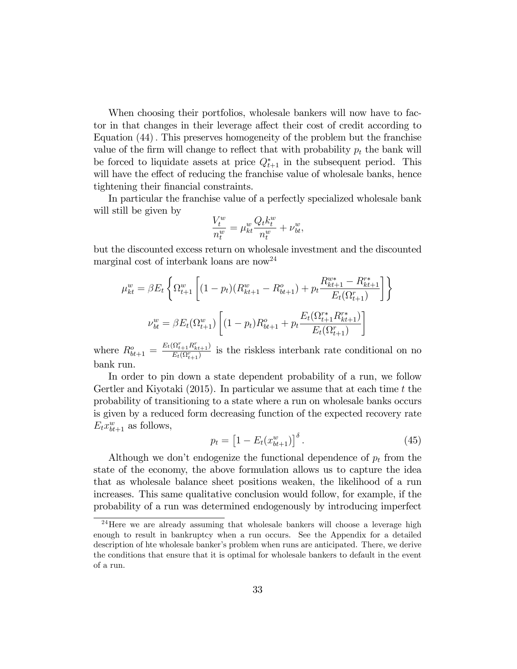When choosing their portfolios, wholesale bankers will now have to factor in that changes in their leverage affect their cost of credit according to Equation (44): This preserves homogeneity of the problem but the franchise value of the firm will change to reflect that with probability  $p_t$  the bank will be forced to liquidate assets at price  $Q_{t+1}^*$  in the subsequent period. This will have the effect of reducing the franchise value of wholesale banks, hence tightening their Önancial constraints.

In particular the franchise value of a perfectly specialized wholesale bank will still be given by

$$
\frac{V_t^w}{n_t^w} = \mu_{kt}^w \frac{Q_t k_t^w}{n_t^w} + \nu_{bt}^w,
$$

but the discounted excess return on wholesale investment and the discounted marginal cost of interbank loans are now<sup>24</sup>

$$
\mu_{kt}^{w} = \beta E_t \left\{ \Omega_{t+1}^{w} \left[ (1 - p_t)(R_{kt+1}^{w} - R_{bt+1}^{o}) + p_t \frac{R_{kt+1}^{w*} - R_{kt+1}^{r*}}{E_t(\Omega_{t+1}^{r})} \right] \right\}
$$

$$
\nu_{bt}^{w} = \beta E_t(\Omega_{t+1}^{w}) \left[ (1 - p_t)R_{bt+1}^{o} + p_t \frac{E_t(\Omega_{t+1}^{r*} R_{kt+1}^{r*})}{E_t(\Omega_{t+1}^{r})} \right]
$$

where  $R_{bt+1}^o = \frac{E_t(\Omega_{t+1}^r R_{kt+1}^r)}{E_t(\Omega_{t+1}^r)}$  $\frac{\sum_{i=1}^{n} T_{k} + 1}{E_t(\Omega_{t+1}^r)}$  is the riskless interbank rate conditional on no bank run.

In order to pin down a state dependent probability of a run, we follow Gertler and Kiyotaki  $(2015)$ . In particular we assume that at each time t the probability of transitioning to a state where a run on wholesale banks occurs is given by a reduced form decreasing function of the expected recovery rate  $E_t x_{bt+1}^w$  as follows,

$$
p_t = [1 - E_t(x_{bt+1}^w)]^{\delta}.
$$
 (45)

Although we don't endogenize the functional dependence of  $p_t$  from the state of the economy, the above formulation allows us to capture the idea that as wholesale balance sheet positions weaken, the likelihood of a run increases. This same qualitative conclusion would follow, for example, if the probability of a run was determined endogenously by introducing imperfect

<sup>&</sup>lt;sup>24</sup>Here we are already assuming that wholesale bankers will choose a leverage high enough to result in bankruptcy when a run occurs. See the Appendix for a detailed description of hte wholesale banker's problem when runs are anticipated. There, we derive the conditions that ensure that it is optimal for wholesale bankers to default in the event of a run.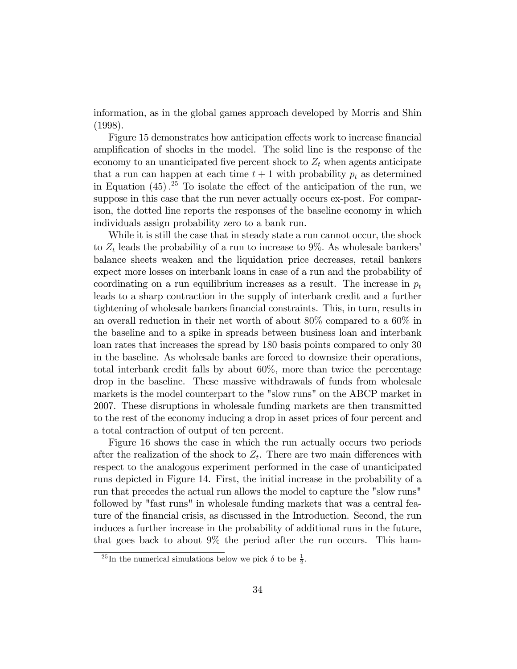information, as in the global games approach developed by Morris and Shin (1998).

Figure 15 demonstrates how anticipation effects work to increase financial amplification of shocks in the model. The solid line is the response of the economy to an unanticipated five percent shock to  $Z_t$  when agents anticipate that a run can happen at each time  $t + 1$  with probability  $p_t$  as determined in Equation  $(45)$ .<sup>25</sup> To isolate the effect of the anticipation of the run, we suppose in this case that the run never actually occurs ex-post. For comparison, the dotted line reports the responses of the baseline economy in which individuals assign probability zero to a bank run.

While it is still the case that in steady state a run cannot occur, the shock to  $Z_t$  leads the probability of a run to increase to 9%. As wholesale bankers' balance sheets weaken and the liquidation price decreases, retail bankers expect more losses on interbank loans in case of a run and the probability of coordinating on a run equilibrium increases as a result. The increase in  $p_t$ leads to a sharp contraction in the supply of interbank credit and a further tightening of wholesale bankers Önancial constraints. This, in turn, results in an overall reduction in their net worth of about 80% compared to a 60% in the baseline and to a spike in spreads between business loan and interbank loan rates that increases the spread by 180 basis points compared to only 30 in the baseline. As wholesale banks are forced to downsize their operations, total interbank credit falls by about 60%, more than twice the percentage drop in the baseline. These massive withdrawals of funds from wholesale markets is the model counterpart to the "slow runs" on the ABCP market in 2007. These disruptions in wholesale funding markets are then transmitted to the rest of the economy inducing a drop in asset prices of four percent and a total contraction of output of ten percent.

Figure 16 shows the case in which the run actually occurs two periods after the realization of the shock to  $Z_t$ . There are two main differences with respect to the analogous experiment performed in the case of unanticipated runs depicted in Figure 14. First, the initial increase in the probability of a run that precedes the actual run allows the model to capture the "slow runs" followed by "fast runs" in wholesale funding markets that was a central feature of the Önancial crisis, as discussed in the Introduction. Second, the run induces a further increase in the probability of additional runs in the future, that goes back to about 9% the period after the run occurs. This ham-

<sup>&</sup>lt;sup>25</sup>In the numerical simulations below we pick  $\delta$  to be  $\frac{1}{2}$ .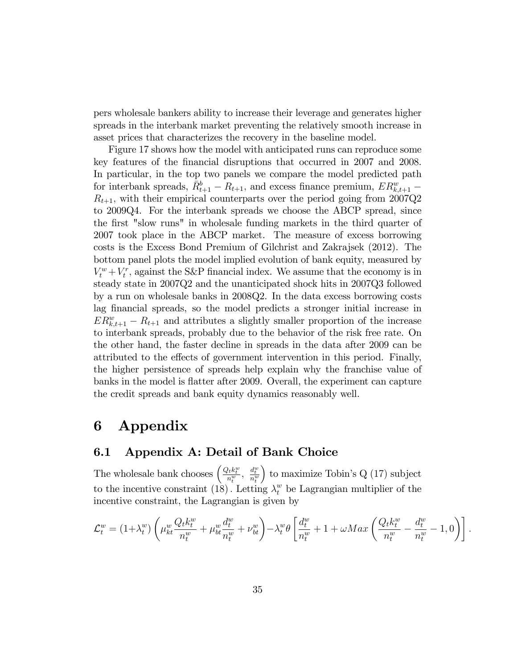pers wholesale bankers ability to increase their leverage and generates higher spreads in the interbank market preventing the relatively smooth increase in asset prices that characterizes the recovery in the baseline model.

Figure 17 shows how the model with anticipated runs can reproduce some key features of the Önancial disruptions that occurred in 2007 and 2008. In particular, in the top two panels we compare the model predicted path for interbank spreads,  $\bar{R}_{t+1}^b - R_{t+1}$ , and excess finance premium,  $ER_{k,t+1}^w R_{t+1}$ , with their empirical counterparts over the period going from 2007Q2 to 2009Q4. For the interbank spreads we choose the ABCP spread, since the first "slow runs" in wholesale funding markets in the third quarter of 2007 took place in the ABCP market. The measure of excess borrowing costs is the Excess Bond Premium of Gilchrist and Zakrajsek (2012). The bottom panel plots the model implied evolution of bank equity, measured by  $V_t^w + V_t^r$ , against the S&P financial index. We assume that the economy is in steady state in 2007Q2 and the unanticipated shock hits in 2007Q3 followed by a run on wholesale banks in 2008Q2. In the data excess borrowing costs lag financial spreads, so the model predicts a stronger initial increase in  $ER_{k,t+1}^w - R_{t+1}$  and attributes a slightly smaller proportion of the increase to interbank spreads, probably due to the behavior of the risk free rate. On the other hand, the faster decline in spreads in the data after 2009 can be attributed to the effects of government intervention in this period. Finally, the higher persistence of spreads help explain why the franchise value of banks in the model is flatter after 2009. Overall, the experiment can capture the credit spreads and bank equity dynamics reasonably well.

# 6 Appendix

### 6.1 Appendix A: Detail of Bank Choice

The wholesale bank chooses  $\left(\frac{Q_t k_t^w}{n_t^w}, \frac{d_t^w}{n_t^w}\right)$  $\sigma$  to maximize Tobin's Q (17) subject to the incentive constraint (18). Letting  $\lambda_t^w$  be Lagrangian multiplier of the incentive constraint, the Lagrangian is given by

$$
\mathcal{L}_t^w = (1 + \lambda_t^w) \left( \mu_{kt}^w \frac{Q_t k_t^w}{n_t^w} + \mu_{bt}^w \frac{d_t^w}{n_t^w} + \nu_{bt}^w \right) - \lambda_t^w \theta \left[ \frac{d_t^w}{n_t^w} + 1 + \omega Max \left( \frac{Q_t k_t^w}{n_t^w} - \frac{d_t^w}{n_t^w} - 1, 0 \right) \right].
$$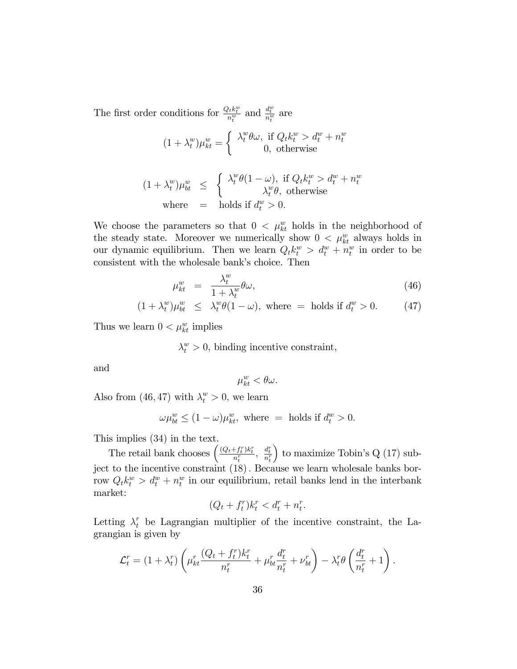The first order conditions for  $\frac{Q_t k_t^w}{n_t^w}$  and  $\frac{d_t^w}{n_t^w}$  are

$$
(1 + \lambda_t^w)\mu_{kt}^w = \begin{cases} \lambda_t^w \theta \omega, & \text{if } Q_t k_t^w > d_t^w + n_t^w \\ 0, & \text{otherwise} \end{cases}
$$
  

$$
(1 + \lambda_t^w)\mu_{bt}^w \leq \begin{cases} \lambda_t^w \theta (1 - \omega), & \text{if } Q_t k_t^w > d_t^w + n_t^w \\ \lambda_t^w \theta, & \text{otherwise} \end{cases}
$$
  
where = holds if  $d_t^w > 0$ .

We choose the parameters so that  $0 < \mu_{kt}^w$  holds in the neighborhood of the steady state. Moreover we numerically show  $0 < \mu_{kt}^{w}$  always holds in our dynamic equilibrium. Then we learn  $Q_t k_t^w > d_t^w + n_t^w$  in order to be consistent with the wholesale bank's choice. Then

$$
\mu_{kt}^w = \frac{\lambda_t^w}{1 + \lambda_t^w} \theta \omega, \tag{46}
$$

$$
(1 + \lambda_t^w)\mu_{bt}^w \le \lambda_t^w \theta(1 - \omega), \text{ where } = \text{ holds if } d_t^w > 0. \tag{47}
$$

Thus we learn  $0 < \mu_{kt}^w$  implies

 $\lambda_t^w > 0$ , binding incentive constraint,

and

$$
\mu^w_{kt} < \theta \omega.
$$

Also from (46,47) with  $\lambda_t^w > 0$ , we learn

$$
\omega \mu_{bt}^w \le (1 - \omega)\mu_{kt}^w, \text{ where } = \text{ holds if } d_t^w > 0.
$$

This implies (34) in the text.

The retail bank chooses  $\left( \frac{(Q_t + f_t^r)k_t^r}{n_t^r}, \frac{d_t^r}{n_t^r} \right)$  $\big)$  to maximize Tobin's Q (17) subject to the incentive constraint  $(18)$ . Because we learn wholesale banks borrow  $Q_t k_t^w > d_t^w + n_t^w$  in our equilibrium, retail banks lend in the interbank market:

$$
(Q_t + f_t^r)k_t^r < d_t^r + n_t^r.
$$

Letting  $\lambda_t^r$  be Lagrangian multiplier of the incentive constraint, the Lagrangian is given by

$$
\mathcal{L}_t^r = (1 + \lambda_t^r) \left( \mu_{kt}^r \frac{(Q_t + f_t^r)k_t^r}{n_t^r} + \mu_{bt}^r \frac{d_t^r}{n_t^r} + \nu_{bt}^r \right) - \lambda_t^r \theta \left( \frac{d_t^r}{n_t^r} + 1 \right).
$$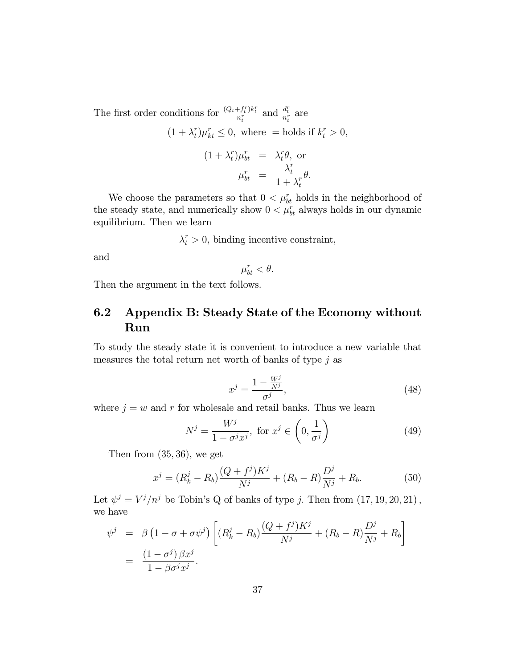The first order conditions for  $\frac{(Q_t + f_t^r)k_t^r}{n_t^r}$  and  $\frac{d_t^r}{n_t^r}$  are  $(1 + \lambda_t^r)$  $t^r \mu_{kt}^r \leq 0$ , where = holds if  $k_t^r > 0$ ,  $(1 + \lambda_t^r)$  $\lambda_t^r$  )  $\mu_{bt}^r$  =  $\lambda_t^r$  ${}_{t}^{r}\theta$ , or  $\mu_{bt}^r =$  $\lambda_t^r$ t  $\overline{1+\lambda_t^r}$ t  $\theta$ .

We choose the parameters so that  $0 < \mu_{bt}^r$  holds in the neighborhood of the steady state, and numerically show  $0 < \mu_{bt}^r$  always holds in our dynamic equilibrium. Then we learn

 $\lambda_t^r > 0$ , binding incentive constraint,

and

$$
\mu^r_{bt} < \theta.
$$

Then the argument in the text follows.

## 6.2 Appendix B: Steady State of the Economy without Run

To study the steady state it is convenient to introduce a new variable that measures the total return net worth of banks of type  $j$  as

$$
x^j = \frac{1 - \frac{W^j}{N^j}}{\sigma^j},\tag{48}
$$

where  $j = w$  and r for wholesale and retail banks. Thus we learn

$$
N^j = \frac{W^j}{1 - \sigma^j x^j}, \text{ for } x^j \in \left(0, \frac{1}{\sigma^j}\right) \tag{49}
$$

Then from  $(35, 36)$ , we get

$$
x^{j} = (R_{k}^{j} - R_{b}) \frac{(Q + f^{j})K^{j}}{N^{j}} + (R_{b} - R) \frac{D^{j}}{N^{j}} + R_{b}.
$$
 (50)

Let  $\psi^j = V^j/n^j$  be Tobin's Q of banks of type j. Then from  $(17, 19, 20, 21)$ , we have

$$
\psi^j = \beta \left( 1 - \sigma + \sigma \psi^j \right) \left[ (R_k^j - R_b) \frac{(Q + f^j) K^j}{N^j} + (R_b - R) \frac{D^j}{N^j} + R_b \right]
$$
  
= 
$$
\frac{(1 - \sigma^j) \beta x^j}{1 - \beta \sigma^j x^j}.
$$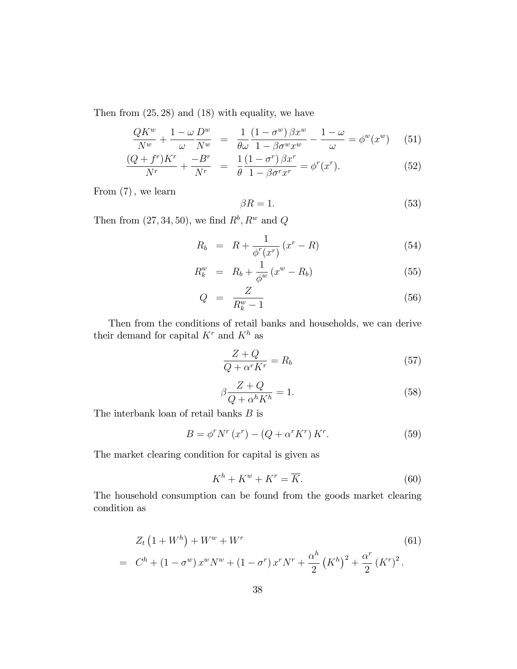Then from  $(25, 28)$  and  $(18)$  with equality, we have

$$
\frac{QK^w}{N^w} + \frac{1-\omega}{\omega} \frac{D^w}{N^w} = \frac{1}{\theta \omega} \frac{(1-\sigma^w)\beta x^w}{1-\beta \sigma^w x^w} - \frac{1-\omega}{\omega} = \phi^w(x^w) \quad (51)
$$

$$
\frac{(Q+f^r)K^r}{N^r} + \frac{-B^r}{N^r} = \frac{1}{\theta} \frac{(1-\sigma^r)\beta x^r}{1-\beta\sigma^r x^r} = \phi^r(x^r). \tag{52}
$$

From  $(7)$ , we learn

$$
\beta R = 1. \tag{53}
$$

Then from  $(27, 34, 50)$ , we find  $R^b$ ,  $R^w$  and Q

$$
R_b = R + \frac{1}{\phi^r(x^r)} (x^r - R)
$$
\n(54)

$$
R_k^w = R_b + \frac{1}{\phi^w} (x^w - R_b)
$$
 (55)

$$
Q = \frac{Z}{R_k^w - 1} \tag{56}
$$

Then from the conditions of retail banks and households, we can derive their demand for capital  $K^r$  and  $K^h$  as

$$
\frac{Z+Q}{Q+\alpha^r K^r} = R_b \tag{57}
$$

$$
\beta \frac{Z + Q}{Q + \alpha^h K^h} = 1.
$$
\n(58)

The interbank loan of retail banks  $B$  is

$$
B = \phi^r N^r (x^r) - (Q + \alpha^r K^r) K^r.
$$
 (59)

The market clearing condition for capital is given as

$$
K^h + K^w + K^r = \overline{K}.\tag{60}
$$

The household consumption can be found from the goods market clearing condition as

$$
Z_t (1 + W^h) + W^w + W^r
$$
\n
$$
= C^h + (1 - \sigma^w) x^w N^w + (1 - \sigma^r) x^r N^r + \frac{\alpha^h}{2} (K^h)^2 + \frac{\alpha^r}{2} (K^r)^2.
$$
\n(61)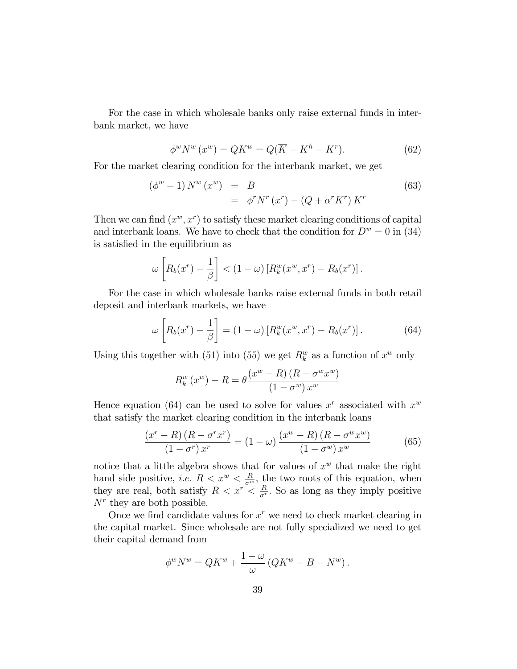For the case in which wholesale banks only raise external funds in interbank market, we have

$$
\phi^w N^w (x^w) = QK^w = Q(\overline{K} - K^h - K^r). \tag{62}
$$

For the market clearing condition for the interbank market, we get

$$
\begin{array}{rcl}\n(\phi^w - 1) N^w (x^w) & = & B \\
& = & \phi^r N^r (x^r) - (Q + \alpha^r K^r) K^r\n\end{array}\n\tag{63}
$$

Then we can find  $(x^w, x^r)$  to satisfy these market clearing conditions of capital and interbank loans. We have to check that the condition for  $D^w = 0$  in (34) is satisfied in the equilibrium as

$$
\omega\left[R_b(x^r)-\frac{1}{\beta}\right] < (1-\omega)\left[R_k^w(x^w,x^r)-R_b(x^r)\right].
$$

For the case in which wholesale banks raise external funds in both retail deposit and interbank markets, we have

$$
\omega\left[R_b(x^r) - \frac{1}{\beta}\right] = (1 - \omega)\left[R_k^w(x^w, x^r) - R_b(x^r)\right].\tag{64}
$$

Using this together with (51) into (55) we get  $R_k^w$  as a function of  $x^w$  only

$$
R_k^w(x^w) - R = \theta \frac{(x^w - R) (R - \sigma^w x^w)}{(1 - \sigma^w) x^w}
$$

Hence equation (64) can be used to solve for values  $x^r$  associated with  $x^w$ that satisfy the market clearing condition in the interbank loans

$$
\frac{\left(x^r - R\right)\left(R - \sigma^r x^r\right)}{\left(1 - \sigma^r\right)x^r} = \left(1 - \omega\right)\frac{\left(x^w - R\right)\left(R - \sigma^w x^w\right)}{\left(1 - \sigma^w\right)x^w} \tag{65}
$$

notice that a little algebra shows that for values of  $x^w$  that make the right hand side positive, *i.e.*  $R < x^w < \frac{R}{\sigma^w}$ , the two roots of this equation, when they are real, both satisfy  $R < x^r < \frac{R}{\sigma^r}$  $\frac{R}{\sigma^r}$ . So as long as they imply positive  $N<sup>r</sup>$  they are both possible.

Once we find candidate values for  $x^r$  we need to check market clearing in the capital market. Since wholesale are not fully specialized we need to get their capital demand from

$$
\phi^w N^w = QK^w + \frac{1-\omega}{\omega} (QK^w - B - N^w).
$$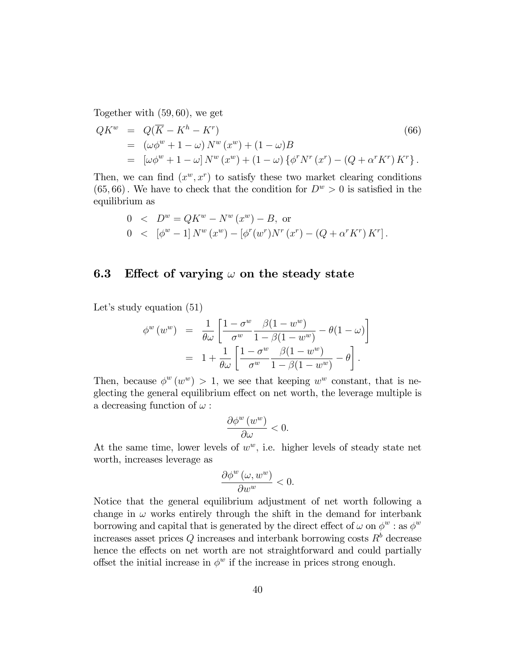Together with  $(59, 60)$ , we get

$$
QK^{w} = Q(\overline{K} - K^{h} - K^{r})
$$
  
=  $(\omega \phi^{w} + 1 - \omega) N^{w} (x^{w}) + (1 - \omega)B$   
=  $[\omega \phi^{w} + 1 - \omega] N^{w} (x^{w}) + (1 - \omega) {\phi^{r} N^{r} (x^{r}) - (Q + \alpha^{r} K^{r}) K^{r}}.$  (66)

Then, we can find  $(x^w, x^r)$  to satisfy these two market clearing conditions (65,66). We have to check that the condition for  $D^w > 0$  is satisfied in the equilibrium as

0 
$$
\angle D^w = QK^w - N^w (x^w) - B
$$
, or  
0  $\angle [\phi^w - 1] N^w (x^w) - [\phi^r(w^r) N^r (x^r) - (Q + \alpha^r K^r) K^r].$ 

### 6.3 Effect of varying  $\omega$  on the steady state

Let's study equation  $(51)$ 

$$
\begin{array}{rcl}\n\phi^w(w^w) & = & \frac{1}{\theta\omega} \left[ \frac{1-\sigma^w}{\sigma^w} \frac{\beta(1-w^w)}{1-\beta(1-w^w)} - \theta(1-\omega) \right] \\
& = & 1 + \frac{1}{\theta\omega} \left[ \frac{1-\sigma^w}{\sigma^w} \frac{\beta(1-w^w)}{1-\beta(1-w^w)} - \theta \right].\n\end{array}
$$

Then, because  $\phi^w(w^w) > 1$ , we see that keeping  $w^w$  constant, that is neglecting the general equilibrium effect on net worth, the leverage multiple is a decreasing function of  $\omega$ :

$$
\frac{\partial \phi^w(w^w)}{\partial \omega} < 0.
$$

At the same time, lower levels of  $w^w$ , i.e. higher levels of steady state net worth, increases leverage as

$$
\frac{\partial \phi^w(\omega, w^w)}{\partial w^w} < 0.
$$

Notice that the general equilibrium adjustment of net worth following a change in  $\omega$  works entirely through the shift in the demand for interbank borrowing and capital that is generated by the direct effect of  $\omega$  on  $\phi^w$  : as  $\phi^w$ increases asset prices  $Q$  increases and interbank borrowing costs  $R^b$  decrease hence the effects on net worth are not straightforward and could partially offset the initial increase in  $\phi^w$  if the increase in prices strong enough.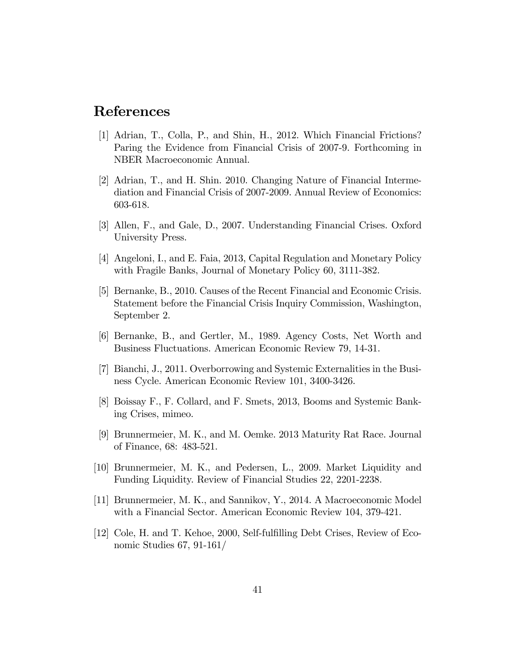### References

- [1] Adrian, T., Colla, P., and Shin, H., 2012. Which Financial Frictions? Paring the Evidence from Financial Crisis of 2007-9. Forthcoming in NBER Macroeconomic Annual.
- [2] Adrian, T., and H. Shin. 2010. Changing Nature of Financial Intermediation and Financial Crisis of 2007-2009. Annual Review of Economics: 603-618.
- [3] Allen, F., and Gale, D., 2007. Understanding Financial Crises. Oxford University Press.
- [4] Angeloni, I., and E. Faia, 2013, Capital Regulation and Monetary Policy with Fragile Banks, Journal of Monetary Policy 60, 3111-382.
- [5] Bernanke, B., 2010. Causes of the Recent Financial and Economic Crisis. Statement before the Financial Crisis Inquiry Commission, Washington, September 2.
- [6] Bernanke, B., and Gertler, M., 1989. Agency Costs, Net Worth and Business Fluctuations. American Economic Review 79, 14-31.
- [7] Bianchi, J., 2011. Overborrowing and Systemic Externalities in the Business Cycle. American Economic Review 101, 3400-3426.
- [8] Boissay F., F. Collard, and F. Smets, 2013, Booms and Systemic Banking Crises, mimeo.
- [9] Brunnermeier, M. K., and M. Oemke. 2013 Maturity Rat Race. Journal of Finance, 68: 483-521.
- [10] Brunnermeier, M. K., and Pedersen, L., 2009. Market Liquidity and Funding Liquidity. Review of Financial Studies 22, 2201-2238.
- [11] Brunnermeier, M. K., and Sannikov, Y., 2014. A Macroeconomic Model with a Financial Sector. American Economic Review 104, 379-421.
- [12] Cole, H. and T. Kehoe, 2000, Self-fulÖlling Debt Crises, Review of Economic Studies 67, 91-161/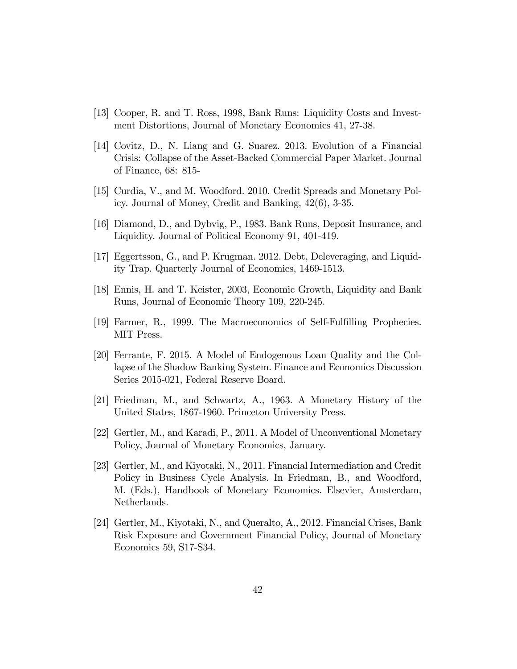- [13] Cooper, R. and T. Ross, 1998, Bank Runs: Liquidity Costs and Investment Distortions, Journal of Monetary Economics 41, 27-38.
- [14] Covitz, D., N. Liang and G. Suarez. 2013. Evolution of a Financial Crisis: Collapse of the Asset-Backed Commercial Paper Market. Journal of Finance, 68: 815-
- [15] Curdia, V., and M. Woodford. 2010. Credit Spreads and Monetary Policy. Journal of Money, Credit and Banking, 42(6), 3-35.
- [16] Diamond, D., and Dybvig, P., 1983. Bank Runs, Deposit Insurance, and Liquidity. Journal of Political Economy 91, 401-419.
- [17] Eggertsson, G., and P. Krugman. 2012. Debt, Deleveraging, and Liquidity Trap. Quarterly Journal of Economics, 1469-1513.
- [18] Ennis, H. and T. Keister, 2003, Economic Growth, Liquidity and Bank Runs, Journal of Economic Theory 109, 220-245.
- [19] Farmer, R., 1999. The Macroeconomics of Self-FulÖlling Prophecies. MIT Press.
- [20] Ferrante, F. 2015. A Model of Endogenous Loan Quality and the Collapse of the Shadow Banking System. Finance and Economics Discussion Series 2015-021, Federal Reserve Board.
- [21] Friedman, M., and Schwartz, A., 1963. A Monetary History of the United States, 1867-1960. Princeton University Press.
- [22] Gertler, M., and Karadi, P., 2011. A Model of Unconventional Monetary Policy, Journal of Monetary Economics, January.
- [23] Gertler, M., and Kiyotaki, N., 2011. Financial Intermediation and Credit Policy in Business Cycle Analysis. In Friedman, B., and Woodford, M. (Eds.), Handbook of Monetary Economics. Elsevier, Amsterdam, Netherlands.
- [24] Gertler, M., Kiyotaki, N., and Queralto, A., 2012. Financial Crises, Bank Risk Exposure and Government Financial Policy, Journal of Monetary Economics 59, S17-S34.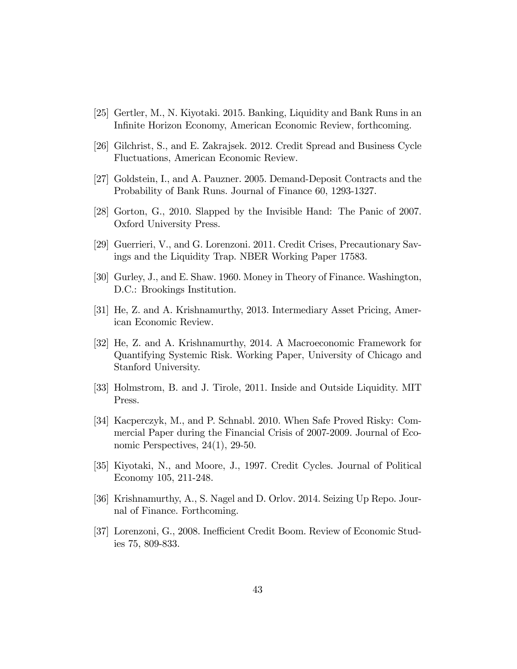- [25] Gertler, M., N. Kiyotaki. 2015. Banking, Liquidity and Bank Runs in an Infinite Horizon Economy, American Economic Review, forthcoming.
- [26] Gilchrist, S., and E. Zakrajsek. 2012. Credit Spread and Business Cycle Fluctuations, American Economic Review.
- [27] Goldstein, I., and A. Pauzner. 2005. Demand-Deposit Contracts and the Probability of Bank Runs. Journal of Finance 60, 1293-1327.
- [28] Gorton, G., 2010. Slapped by the Invisible Hand: The Panic of 2007. Oxford University Press.
- [29] Guerrieri, V., and G. Lorenzoni. 2011. Credit Crises, Precautionary Savings and the Liquidity Trap. NBER Working Paper 17583.
- [30] Gurley, J., and E. Shaw. 1960. Money in Theory of Finance. Washington, D.C.: Brookings Institution.
- [31] He, Z. and A. Krishnamurthy, 2013. Intermediary Asset Pricing, American Economic Review.
- [32] He, Z. and A. Krishnamurthy, 2014. A Macroeconomic Framework for Quantifying Systemic Risk. Working Paper, University of Chicago and Stanford University.
- [33] Holmstrom, B. and J. Tirole, 2011. Inside and Outside Liquidity. MIT Press.
- [34] Kacperczyk, M., and P. Schnabl. 2010. When Safe Proved Risky: Commercial Paper during the Financial Crisis of 2007-2009. Journal of Economic Perspectives, 24(1), 29-50.
- [35] Kiyotaki, N., and Moore, J., 1997. Credit Cycles. Journal of Political Economy 105, 211-248.
- [36] Krishnamurthy, A., S. Nagel and D. Orlov. 2014. Seizing Up Repo. Journal of Finance. Forthcoming.
- [37] Lorenzoni, G., 2008. Inefficient Credit Boom. Review of Economic Studies 75, 809-833.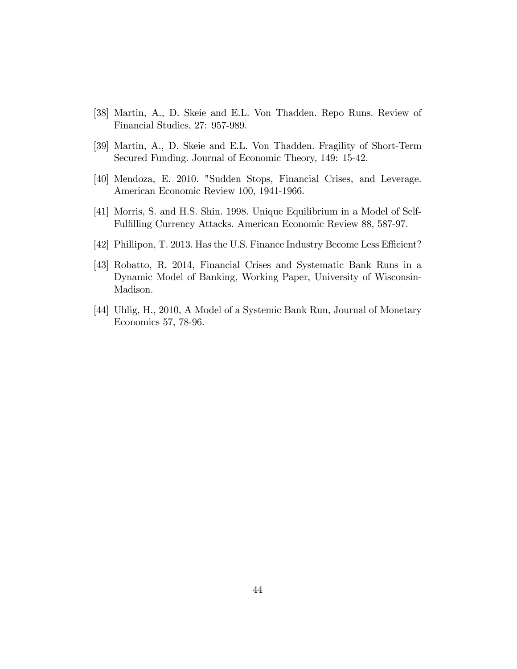- [38] Martin, A., D. Skeie and E.L. Von Thadden. Repo Runs. Review of Financial Studies, 27: 957-989.
- [39] Martin, A., D. Skeie and E.L. Von Thadden. Fragility of Short-Term Secured Funding. Journal of Economic Theory, 149: 15-42.
- [40] Mendoza, E. 2010. "Sudden Stops, Financial Crises, and Leverage. American Economic Review 100, 1941-1966.
- [41] Morris, S. and H.S. Shin. 1998. Unique Equilibrium in a Model of Self-Fulfilling Currency Attacks. American Economic Review 88, 587-97.
- [42] Phillipon, T. 2013. Has the U.S. Finance Industry Become Less Efficient?
- [43] Robatto, R. 2014, Financial Crises and Systematic Bank Runs in a Dynamic Model of Banking, Working Paper, University of Wisconsin-Madison.
- [44] Uhlig, H., 2010, A Model of a Systemic Bank Run, Journal of Monetary Economics 57, 78-96.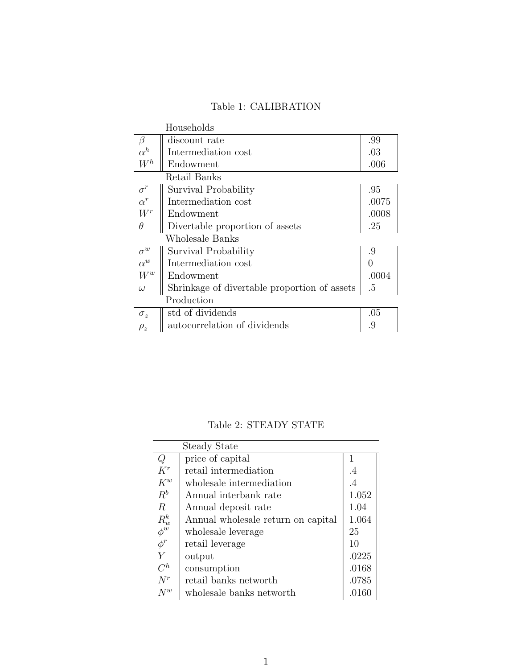|  | Table 1: CALIBRATION |
|--|----------------------|
|--|----------------------|

|                    | Households                                   |                  |
|--------------------|----------------------------------------------|------------------|
| $\beta$            | discount rate                                | .99              |
| $\alpha^h$         | Intermediation cost                          | .03              |
| $W^h$              | Endowment                                    | .006             |
|                    | Retail Banks                                 |                  |
| $\sigma^r$         | Survival Probability                         | .95              |
| $\alpha^r$         | Intermediation cost                          | .0075            |
| $W^r$              | Endowment                                    | .0008            |
| $\theta$           | Divertable proportion of assets              | .25              |
|                    | Wholesale Banks                              |                  |
| $\sigma^{\bar{w}}$ | Survival Probability                         | .9               |
| $\alpha^w$         | Intermediation cost                          | $\left( \right)$ |
| $W^w$              | Endowment                                    | .0004            |
| $\omega$           | Shrinkage of divertable proportion of assets | .5               |
|                    | Production                                   |                  |
| $\sigma_z$         | std of dividends                             | .05              |
| $\rho_z$           | autocorrelation of dividends                 | .9               |

Table 2: STEADY STATE

| <b>Steady State</b> |                                    |         |  |  |
|---------------------|------------------------------------|---------|--|--|
| Q                   | price of capital                   |         |  |  |
| $K^r$               | retail intermediation              | $\cdot$ |  |  |
| $K^w$               | wholes ale intermediation          | $\cdot$ |  |  |
| $R^b$               | Annual interbank rate              | 1.052   |  |  |
| $\boldsymbol{R}$    | Annual deposit rate                | 1.04    |  |  |
| $R_w^k$             | Annual wholesale return on capital | 1.064   |  |  |
| $\phi^w$            | wholesale leverage                 | 25      |  |  |
| $\phi^r$            | retail leverage                    | 10      |  |  |
| $\overline{Y}$      | output                             | .0225   |  |  |
| $C^h$               | consumption                        | .0168   |  |  |
| $N^r$               | retail banks networth              | .0785   |  |  |
| $N^w$               | wholesale banks networth           | .0160   |  |  |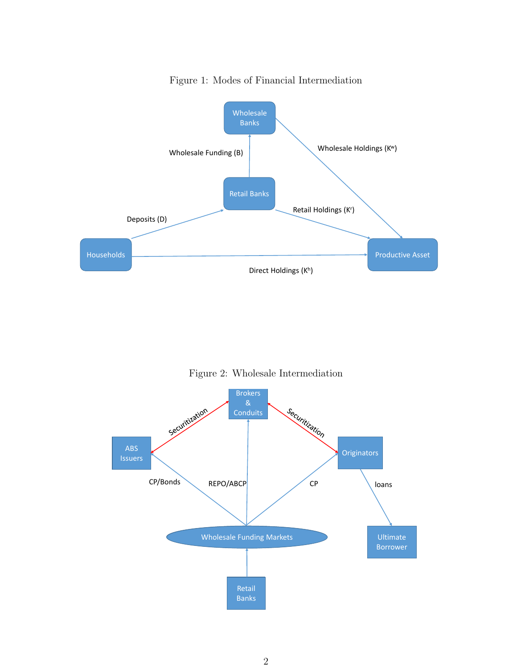

Figure 1: Modes of Financial Intermediation

Figure 2: Wholesale Intermediation

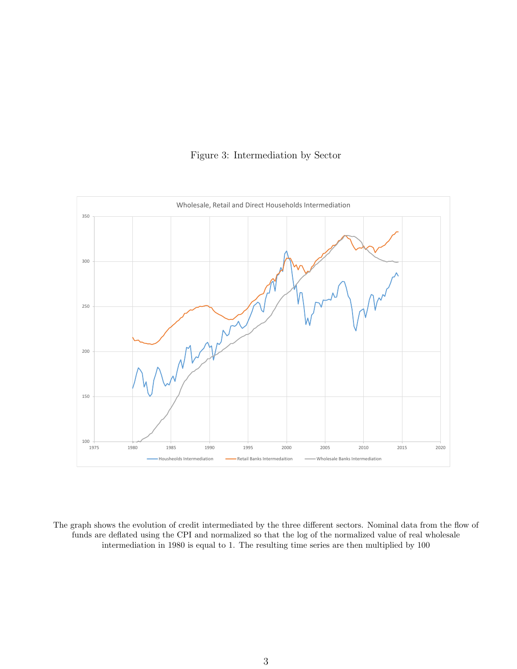



The graph shows the evolution of credit intermediated by the three different sectors. Nominal data from the flow of funds are deflated using the CPI and normalized so that the log of the normalized value of real wholesale intermediation in 1980 is equal to 1. The resulting time series are then multiplied by 100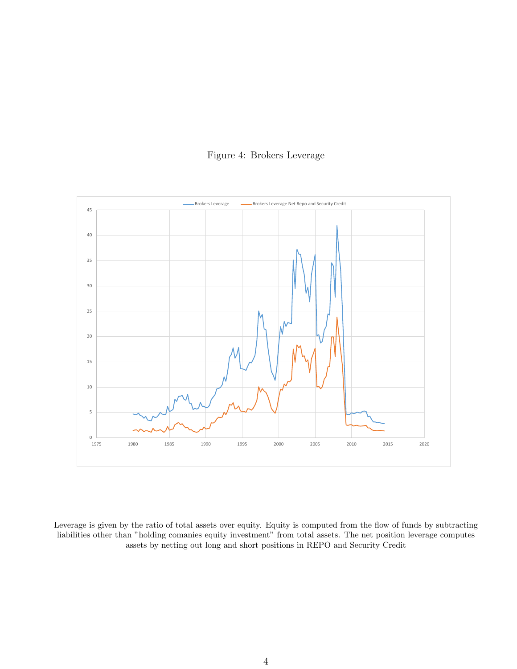



Leverage is given by the ratio of total assets over equity. Equity is computed from the flow of funds by subtracting liabilities other than "holding comanies equity investment" from total assets. The net position leverage computes assets by netting out long and short positions in REPO and Security Credit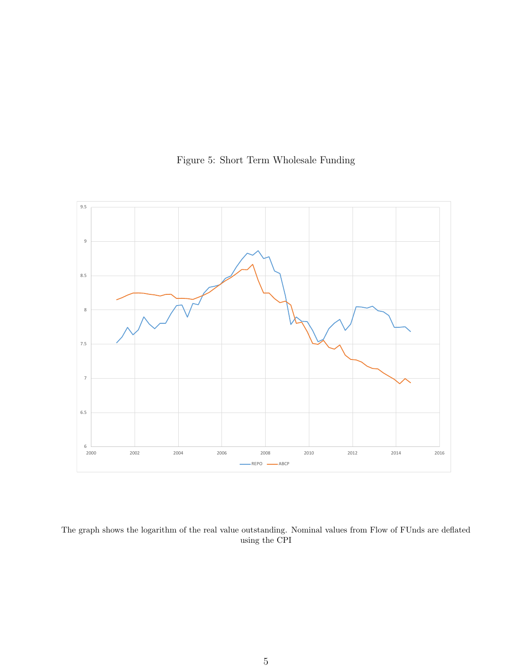

Figure 5: Short Term Wholesale Funding

The graph shows the logarithm of the real value outstanding. Nominal values from Flow of FUnds are deflated using the CPI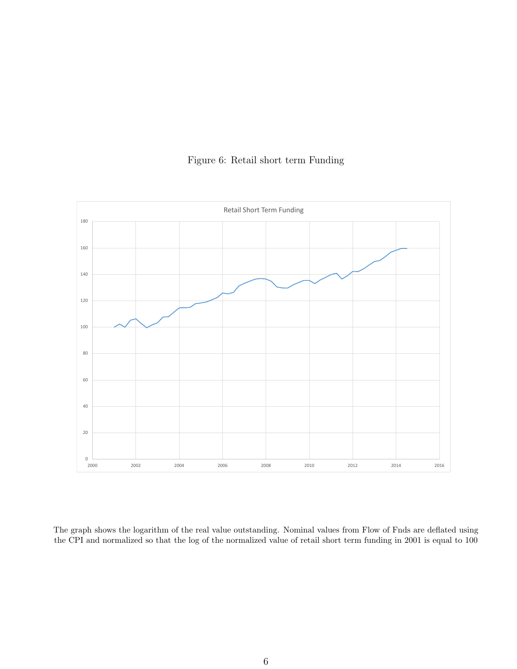

### Figure 6: Retail short term Funding

The graph shows the logarithm of the real value outstanding. Nominal values from Flow of Fnds are deflated using the CPI and normalized so that the log of the normalized value of retail short term funding in 2001 is equal to 100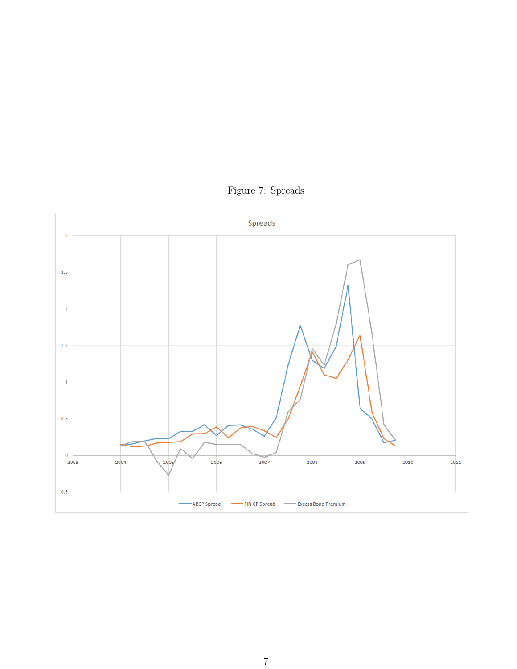

Figure 7: Spreads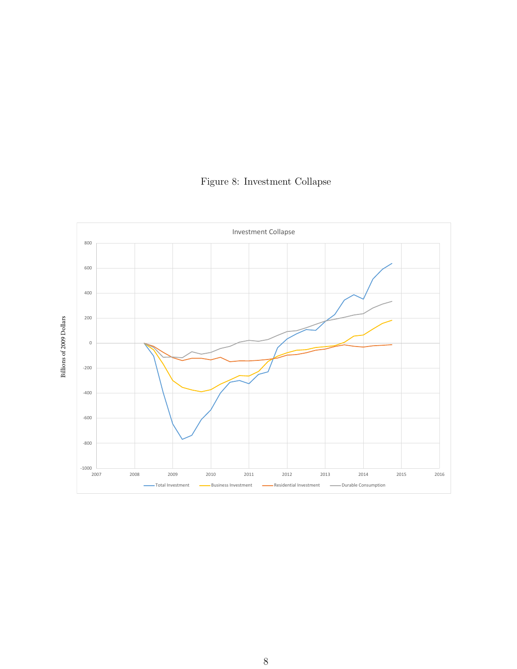

Figure 8: Investment Collapse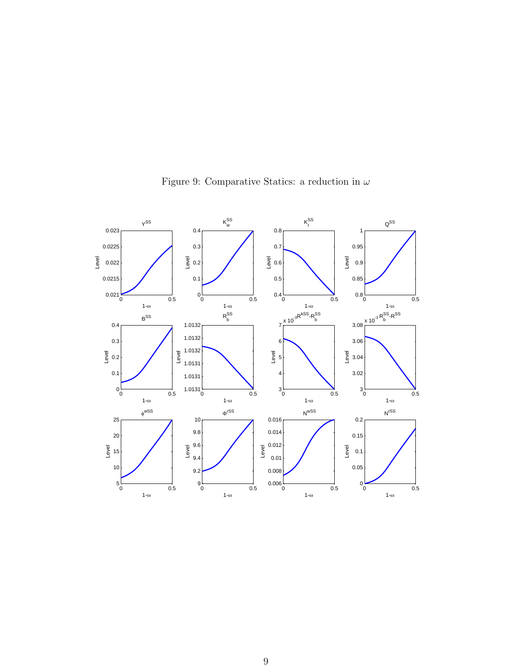

Figure 9: Comparative Statics: a reduction in  $\omega$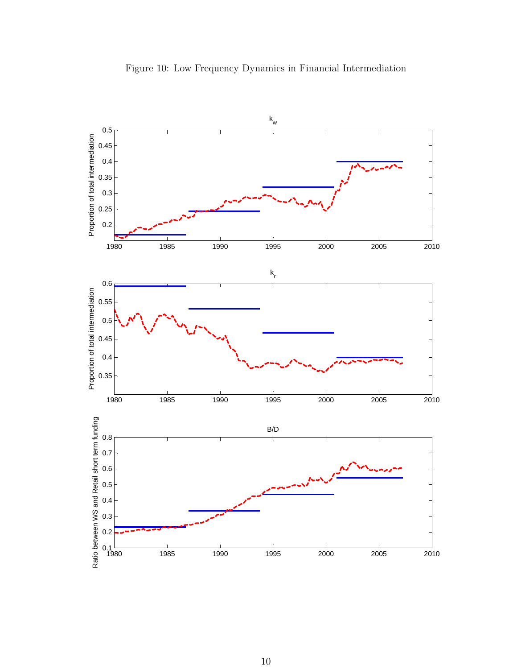

Figure 10: Low Frequency Dynamics in Financial Intermediation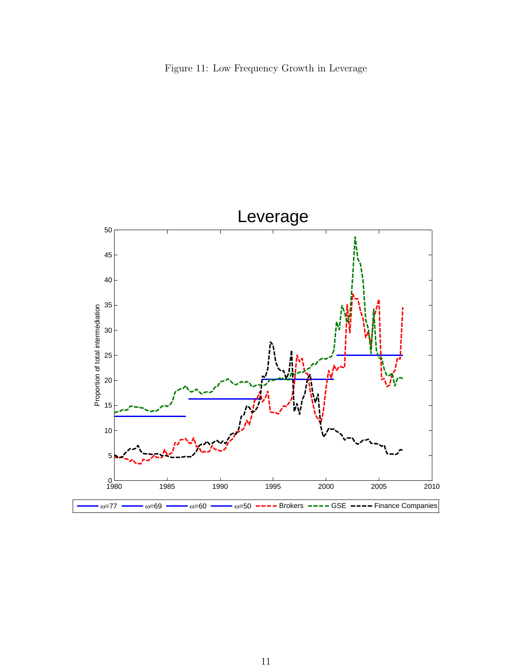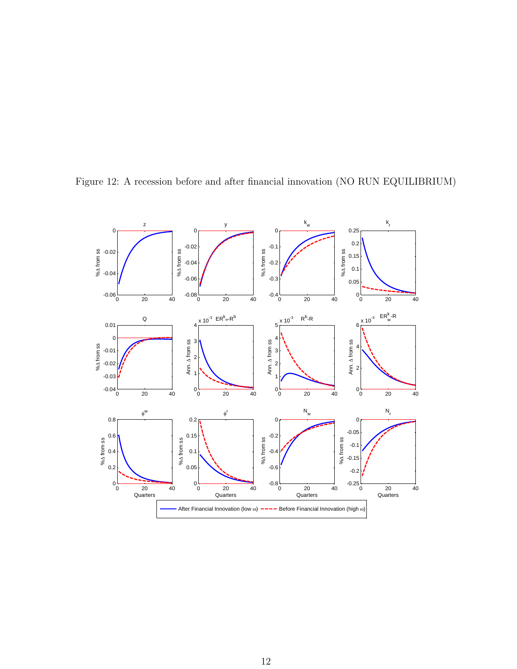

Figure 12: A recession before and after financial innovation (NO RUN EQUILIBRIUM)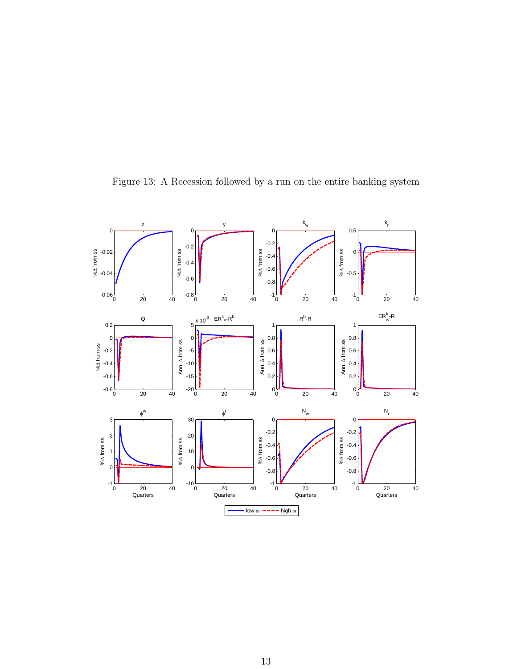

Figure 13: A Recession followed by a run on the entire banking system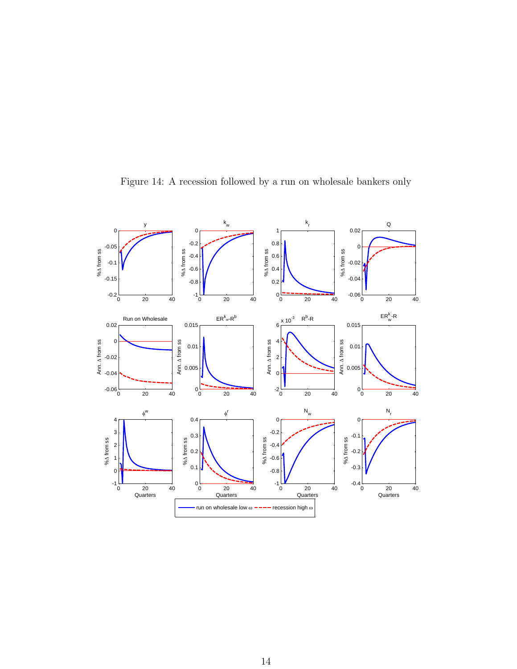

Figure 14: A recession followed by a run on wholesale bankers only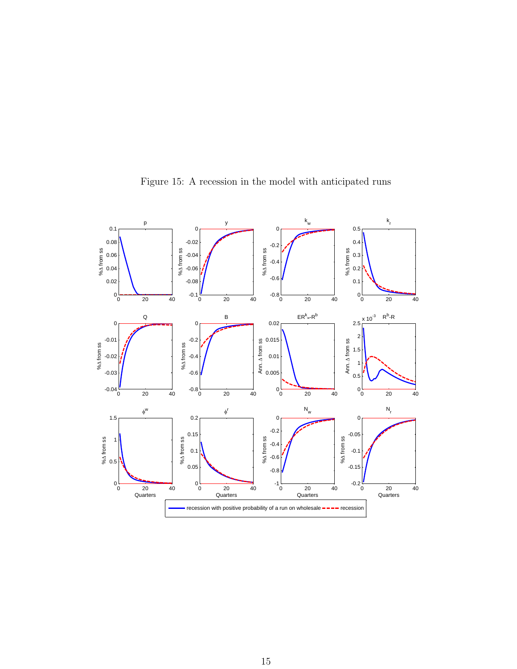

Figure 15: A recession in the model with anticipated runs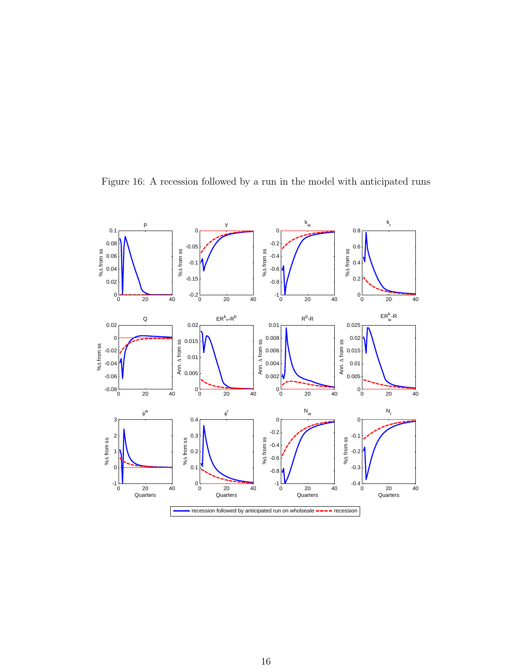

Figure 16: A recession followed by a run in the model with anticipated runs